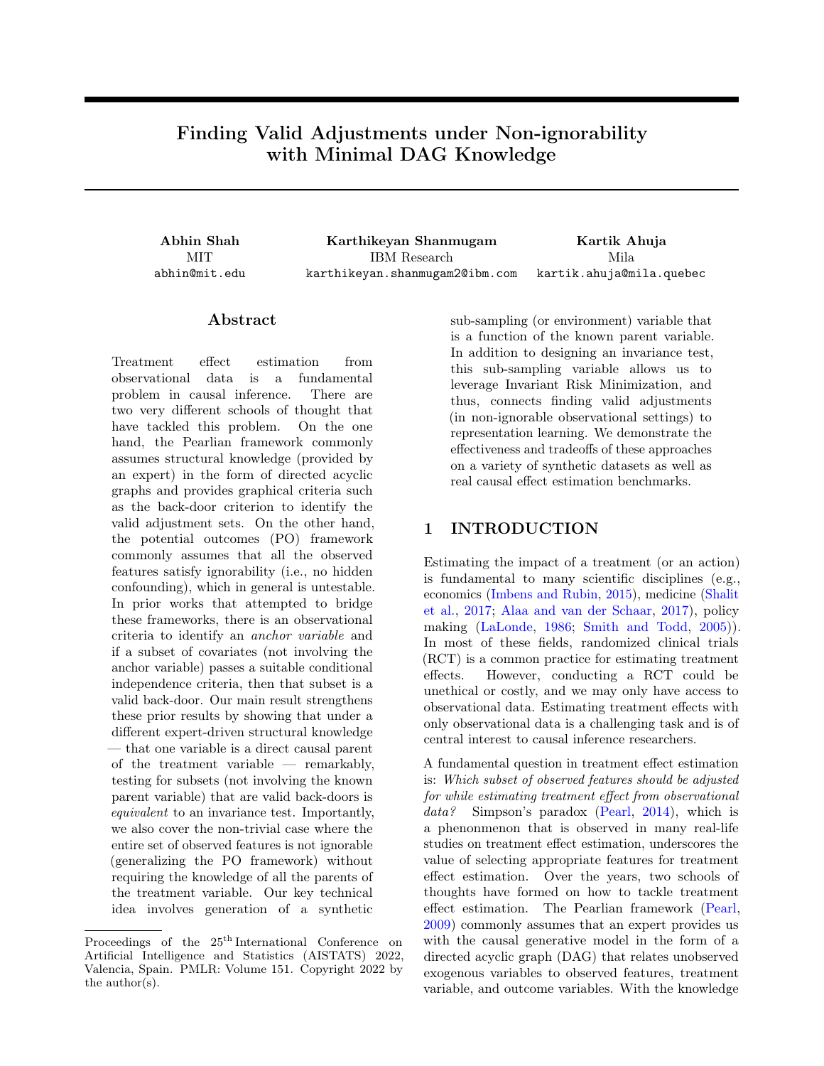# Finding Valid Adjustments under Non-ignorability with Minimal DAG Knowledge

**MIT** abhin@mit.edu

Abhin Shah Karthikeyan Shanmugam Kartik Ahuja IBM Research karthikeyan.shanmugam2@ibm.com Mila kartik.ahuja@mila.quebec

### ${\rm Abstract}$

Treatment effect estimation from observational data is a fundamental problem in causal inference. There are two very different schools of thought that have tackled this problem. On the one hand, the Pearlian framework commonly assumes structural knowledge (provided by an expert) in the form of directed acyclic graphs and provides graphical criteria such as the back-door criterion to identify the valid adjustment sets. On the other hand, the potential outcomes (PO) framework commonly assumes that all the observed features satisfy ignorability (i.e., no hidden confounding), which in general is untestable. In prior works that attempted to bridge these frameworks, there is an observational criteria to identify an anchor variable and if a subset of covariates (not involving the anchor variable) passes a suitable conditional independence criteria, then that subset is a valid back-door. Our main result strengthens these prior results by showing that under a different expert-driven structural knowledge — that one variable is a direct causal parent of the treatment variable — remarkably, testing for subsets (not involving the known parent variable) that are valid back-doors is equivalent to an invariance test. Importantly, we also cover the non-trivial case where the entire set of observed features is not ignorable (generalizing the PO framework) without requiring the knowledge of all the parents of the treatment variable. Our key technical idea involves generation of a synthetic

sub-sampling (or environment) variable that is a function of the known parent variable. In addition to designing an invariance test, this sub-sampling variable allows us to leverage Invariant Risk Minimization, and thus, connects finding valid adjustments (in non-ignorable observational settings) to representation learning. We demonstrate the effectiveness and tradeoffs of these approaches on a variety of synthetic datasets as well as real causal effect estimation benchmarks.

## <span id="page-0-0"></span>1 INTRODUCTION

Estimating the impact of a treatment (or an action) is fundamental to many scientific disciplines (e.g., economics [\(Imbens and Rubin,](#page-9-0) [2015\)](#page-9-0), medicine [\(Shalit](#page-10-0) [et al.,](#page-10-0) [2017;](#page-10-0) [Alaa and van der Schaar,](#page-9-1) [2017\)](#page-9-1), policy making [\(LaLonde,](#page-9-2) [1986;](#page-9-2) [Smith and Todd,](#page-10-1) [2005\)](#page-10-1)). In most of these fields, randomized clinical trials (RCT) is a common practice for estimating treatment effects. However, conducting a RCT could be unethical or costly, and we may only have access to observational data. Estimating treatment effects with only observational data is a challenging task and is of central interest to causal inference researchers.

A fundamental question in treatment effect estimation is: Which subset of observed features should be adjusted for while estimating treatment effect from observational data? Simpson's paradox [\(Pearl,](#page-10-2) [2014\)](#page-10-2), which is a phenonmenon that is observed in many real-life studies on treatment effect estimation, underscores the value of selecting appropriate features for treatment effect estimation. Over the years, two schools of thoughts have formed on how to tackle treatment effect estimation. The Pearlian framework [\(Pearl,](#page-9-3) [2009\)](#page-9-3) commonly assumes that an expert provides us with the causal generative model in the form of a directed acyclic graph (DAG) that relates unobserved exogenous variables to observed features, treatment variable, and outcome variables. With the knowledge

Proceedings of the 25<sup>th</sup> International Conference on Artificial Intelligence and Statistics (AISTATS) 2022, Valencia, Spain. PMLR: Volume 151. Copyright 2022 by the author(s).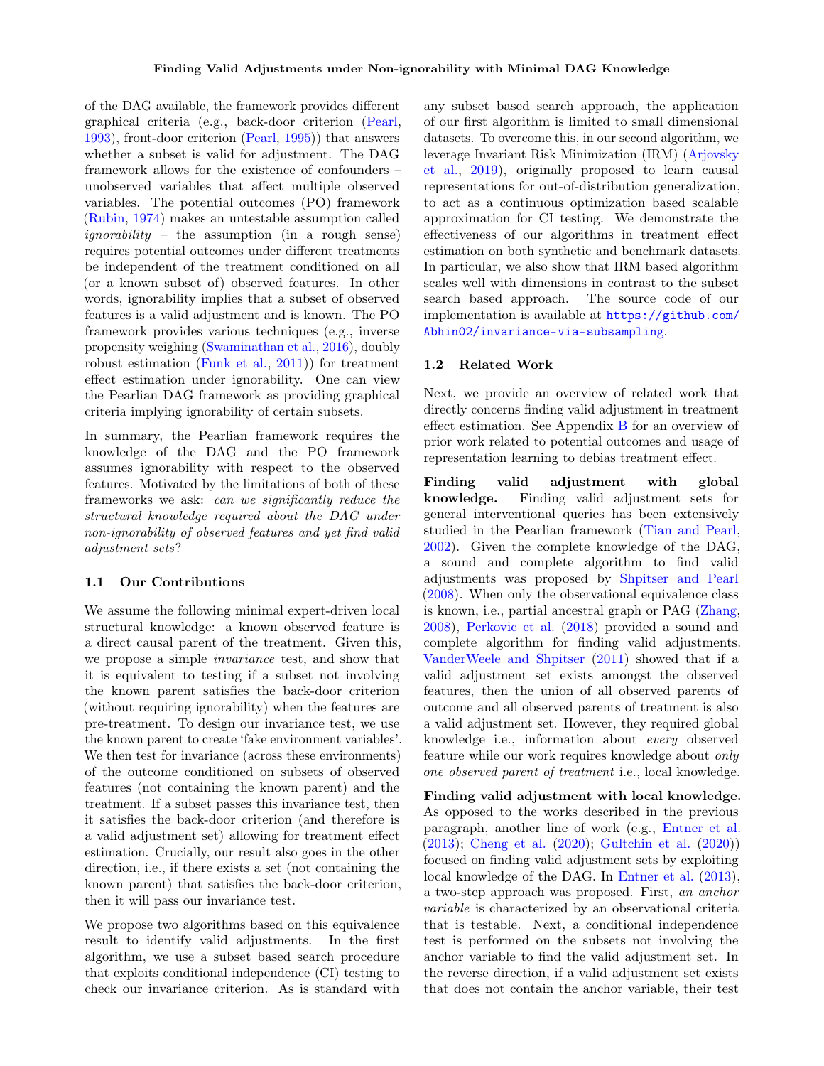of the DAG available, the framework provides different graphical criteria (e.g., back-door criterion [\(Pearl,](#page-9-4) [1993\)](#page-9-4), front-door criterion [\(Pearl,](#page-9-5) [1995\)](#page-9-5)) that answers whether a subset is valid for adjustment. The DAG framework allows for the existence of confounders – unobserved variables that affect multiple observed variables. The potential outcomes (PO) framework [\(Rubin,](#page-10-3) [1974\)](#page-10-3) makes an untestable assumption called ignorability – the assumption (in a rough sense) requires potential outcomes under different treatments be independent of the treatment conditioned on all (or a known subset of) observed features. In other words, ignorability implies that a subset of observed features is a valid adjustment and is known. The PO framework provides various techniques (e.g., inverse propensity weighing [\(Swaminathan et al.,](#page-10-4) [2016\)](#page-10-4), doubly robust estimation [\(Funk et al.,](#page-9-6) [2011\)](#page-9-6)) for treatment effect estimation under ignorability. One can view the Pearlian DAG framework as providing graphical criteria implying ignorability of certain subsets.

In summary, the Pearlian framework requires the knowledge of the DAG and the PO framework assumes ignorability with respect to the observed features. Motivated by the limitations of both of these frameworks we ask: can we significantly reduce the structural knowledge required about the DAG under non-ignorability of observed features and yet find valid adjustment sets?

#### 1.1 Our Contributions

We assume the following minimal expert-driven local structural knowledge: a known observed feature is a direct causal parent of the treatment. Given this, we propose a simple invariance test, and show that it is equivalent to testing if a subset not involving the known parent satisfies the back-door criterion (without requiring ignorability) when the features are pre-treatment. To design our invariance test, we use the known parent to create 'fake environment variables'. We then test for invariance (across these environments) of the outcome conditioned on subsets of observed features (not containing the known parent) and the treatment. If a subset passes this invariance test, then it satisfies the back-door criterion (and therefore is a valid adjustment set) allowing for treatment effect estimation. Crucially, our result also goes in the other direction, i.e., if there exists a set (not containing the known parent) that satisfies the back-door criterion, then it will pass our invariance test.

We propose two algorithms based on this equivalence result to identify valid adjustments. In the first algorithm, we use a subset based search procedure that exploits conditional independence (CI) testing to check our invariance criterion. As is standard with any subset based search approach, the application of our first algorithm is limited to small dimensional datasets. To overcome this, in our second algorithm, we leverage Invariant Risk Minimization (IRM) [\(Arjovsky](#page-9-7) [et al.,](#page-9-7) [2019\)](#page-9-7), originally proposed to learn causal representations for out-of-distribution generalization, to act as a continuous optimization based scalable approximation for CI testing. We demonstrate the effectiveness of our algorithms in treatment effect estimation on both synthetic and benchmark datasets. In particular, we also show that IRM based algorithm scales well with dimensions in contrast to the subset search based approach. The source code of our implementation is available at [https://github.com/](https://github.com/Abhin02/invariance-via-subsampling) [Abhin02/invariance-via-subsampling](https://github.com/Abhin02/invariance-via-subsampling).

#### 1.2 Related Work

Next, we provide an overview of related work that directly concerns finding valid adjustment in treatment effect estimation. See Appendix [B](#page-11-0) for an overview of prior work related to potential outcomes and usage of representation learning to debias treatment effect.

Finding valid adjustment with global knowledge. Finding valid adjustment sets for general interventional queries has been extensively studied in the Pearlian framework [\(Tian and Pearl,](#page-10-5) [2002\)](#page-10-5). Given the complete knowledge of the DAG, a sound and complete algorithm to find valid adjustments was proposed by [Shpitser and Pearl](#page-10-6) [\(2008\)](#page-10-6). When only the observational equivalence class is known, i.e., partial ancestral graph or PAG [\(Zhang,](#page-10-7) [2008\)](#page-10-7), [Perkovic et al.](#page-10-8) [\(2018\)](#page-10-8) provided a sound and complete algorithm for finding valid adjustments. [VanderWeele and Shpitser](#page-10-9) [\(2011\)](#page-10-9) showed that if a valid adjustment set exists amongst the observed features, then the union of all observed parents of outcome and all observed parents of treatment is also a valid adjustment set. However, they required global knowledge i.e., information about every observed feature while our work requires knowledge about only one observed parent of treatment i.e., local knowledge.

Finding valid adjustment with local knowledge. As opposed to the works described in the previous paragraph, another line of work (e.g., [Entner et al.](#page-9-8) [\(2013\)](#page-9-8); [Cheng et al.](#page-9-9) [\(2020\)](#page-9-9); [Gultchin et al.](#page-9-10) [\(2020\)](#page-9-10)) focused on finding valid adjustment sets by exploiting local knowledge of the DAG. In [Entner et al.](#page-9-8) [\(2013\)](#page-9-8), a two-step approach was proposed. First, an anchor variable is characterized by an observational criteria that is testable. Next, a conditional independence test is performed on the subsets not involving the anchor variable to find the valid adjustment set. In the reverse direction, if a valid adjustment set exists that does not contain the anchor variable, their test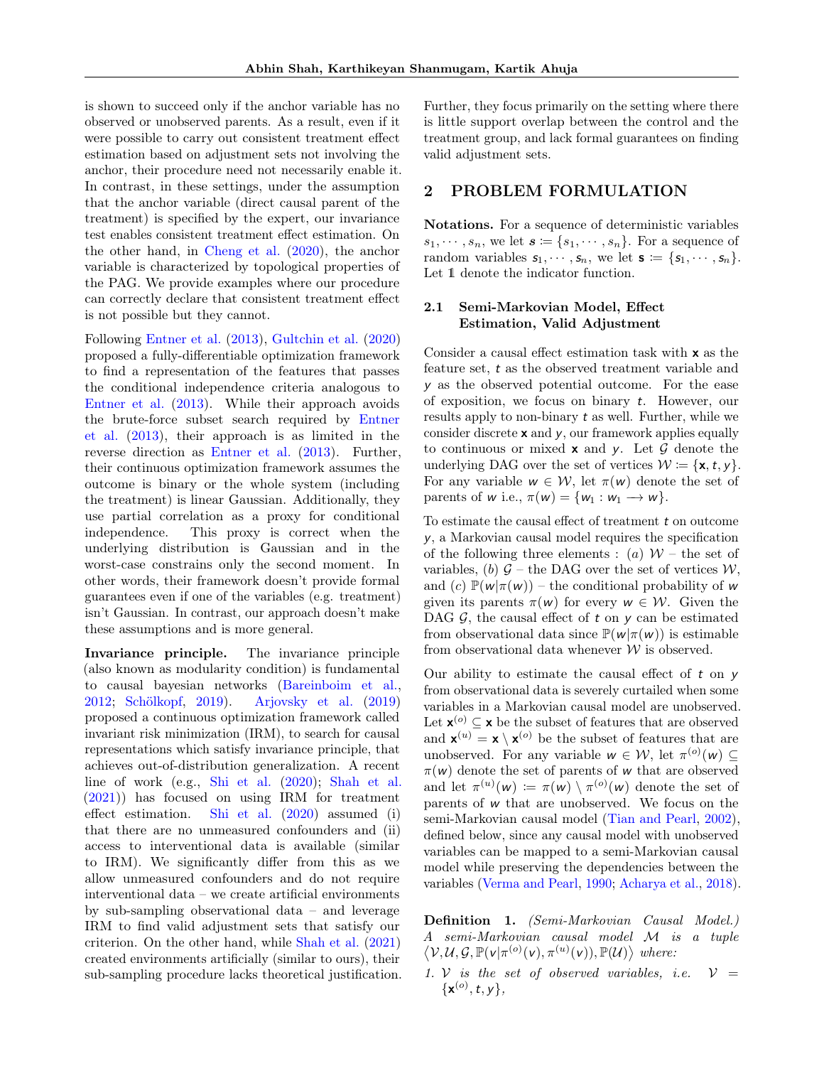is shown to succeed only if the anchor variable has no observed or unobserved parents. As a result, even if it were possible to carry out consistent treatment effect estimation based on adjustment sets not involving the anchor, their procedure need not necessarily enable it. In contrast, in these settings, under the assumption that the anchor variable (direct causal parent of the treatment) is specified by the expert, our invariance test enables consistent treatment effect estimation. On the other hand, in [Cheng et al.](#page-9-9) [\(2020\)](#page-9-9), the anchor variable is characterized by topological properties of the PAG. We provide examples where our procedure can correctly declare that consistent treatment effect is not possible but they cannot.

Following [Entner et al.](#page-9-8) [\(2013\)](#page-9-8), [Gultchin et al.](#page-9-10) [\(2020\)](#page-9-10) proposed a fully-differentiable optimization framework to find a representation of the features that passes the conditional independence criteria analogous to [Entner et al.](#page-9-8) [\(2013\)](#page-9-8). While their approach avoids the brute-force subset search required by [Entner](#page-9-8) [et al.](#page-9-8) [\(2013\)](#page-9-8), their approach is as limited in the reverse direction as [Entner et al.](#page-9-8) [\(2013\)](#page-9-8). Further, their continuous optimization framework assumes the outcome is binary or the whole system (including the treatment) is linear Gaussian. Additionally, they use partial correlation as a proxy for conditional independence. This proxy is correct when the underlying distribution is Gaussian and in the worst-case constrains only the second moment. In other words, their framework doesn't provide formal guarantees even if one of the variables (e.g. treatment) isn't Gaussian. In contrast, our approach doesn't make these assumptions and is more general.

Invariance principle. The invariance principle (also known as modularity condition) is fundamental to causal bayesian networks [\(Bareinboim et al.,](#page-9-11) [2012;](#page-9-11) [Schölkopf,](#page-10-10) [2019\)](#page-10-10). [Arjovsky et al.](#page-9-7) [\(2019\)](#page-9-7) proposed a continuous optimization framework called invariant risk minimization (IRM), to search for causal representations which satisfy invariance principle, that achieves out-of-distribution generalization. A recent line of work (e.g., [Shi et al.](#page-10-11) [\(2020\)](#page-10-11); [Shah et al.](#page-10-12) [\(2021\)](#page-10-12)) has focused on using IRM for treatment effect estimation. [Shi et al.](#page-10-11) [\(2020\)](#page-10-11) assumed (i) that there are no unmeasured confounders and (ii) access to interventional data is available (similar to IRM). We significantly differ from this as we allow unmeasured confounders and do not require interventional data – we create artificial environments by sub-sampling observational data – and leverage IRM to find valid adjustment sets that satisfy our criterion. On the other hand, while [Shah et al.](#page-10-12) [\(2021\)](#page-10-12) created environments artificially (similar to ours), their sub-sampling procedure lacks theoretical justification. Further, they focus primarily on the setting where there is little support overlap between the control and the treatment group, and lack formal guarantees on finding valid adjustment sets.

### 2 PROBLEM FORMULATION

Notations. For a sequence of deterministic variables  $s_1, \dots, s_n$ , we let  $\mathbf{s} \coloneqq \{s_1, \dots, s_n\}$ . For a sequence of random variables  $s_1, \dots, s_n$ , we let  $s := \{s_1, \dots, s_n\}.$ Let 1 denote the indicator function.

### <span id="page-2-0"></span>2.1 Semi-Markovian Model, Effect Estimation, Valid Adjustment

Consider a causal effect estimation task with x as the feature set, t as the observed treatment variable and y as the observed potential outcome. For the ease of exposition, we focus on binary t. However, our results apply to non-binary t as well. Further, while we consider discrete  $x$  and  $y$ , our framework applies equally to continuous or mixed  $x$  and  $y$ . Let  $\mathcal G$  denote the underlying DAG over the set of vertices  $W = \{x, t, y\}.$ For any variable  $w \in \mathcal{W}$ , let  $\pi(w)$  denote the set of parents of w i.e.,  $\pi(w) = \{w_1 : w_1 \longrightarrow w\}.$ 

To estimate the causal effect of treatment t on outcome y, a Markovian causal model requires the specification of the following three elements : (a)  $W$  – the set of variables, (b)  $G$  – the DAG over the set of vertices  $W$ , and (c)  $\mathbb{P}(w|\pi(w))$  – the conditional probability of w given its parents  $\pi(w)$  for every  $w \in \mathcal{W}$ . Given the DAG  $\mathcal{G}$ , the causal effect of  $t$  on  $\gamma$  can be estimated from observational data since  $\mathbb{P}(w|\pi(w))$  is estimable from observational data whenever  $W$  is observed.

Our ability to estimate the causal effect of  $t$  on  $y$ from observational data is severely curtailed when some variables in a Markovian causal model are unobserved. Let  $\mathbf{x}^{(o)} \subseteq \mathbf{x}$  be the subset of features that are observed and  $\mathbf{x}^{(u)} = \mathbf{x} \setminus \mathbf{x}^{(o)}$  be the subset of features that are unobserved. For any variable  $w \in \mathcal{W}$ , let  $\pi^{(o)}(w) \subseteq$  $\pi(w)$  denote the set of parents of w that are observed and let  $\pi^{(u)}(w) := \pi(w) \setminus \pi^{(o)}(w)$  denote the set of parents of w that are unobserved. We focus on the semi-Markovian causal model [\(Tian and Pearl,](#page-10-5) [2002\)](#page-10-5), defined below, since any causal model with unobserved variables can be mapped to a semi-Markovian causal model while preserving the dependencies between the variables [\(Verma and Pearl,](#page-10-13) [1990;](#page-10-13) [Acharya et al.,](#page-9-12) [2018\)](#page-9-12).

Definition 1. (Semi-Markovian Causal Model.) A semi-Markovian causal model M is a tuple  $\langle \mathcal{V}, \mathcal{U}, \mathcal{G}, \mathbb{P}(\mathsf{v} | \pi^{(o)}(\mathsf{v}), \pi^{(u)}(\mathsf{v})), \mathbb{P}(\mathcal{U}) \rangle$  where:

1. V is the set of observed variables, i.e.  $V =$  ${x^{(o)}, t, y},$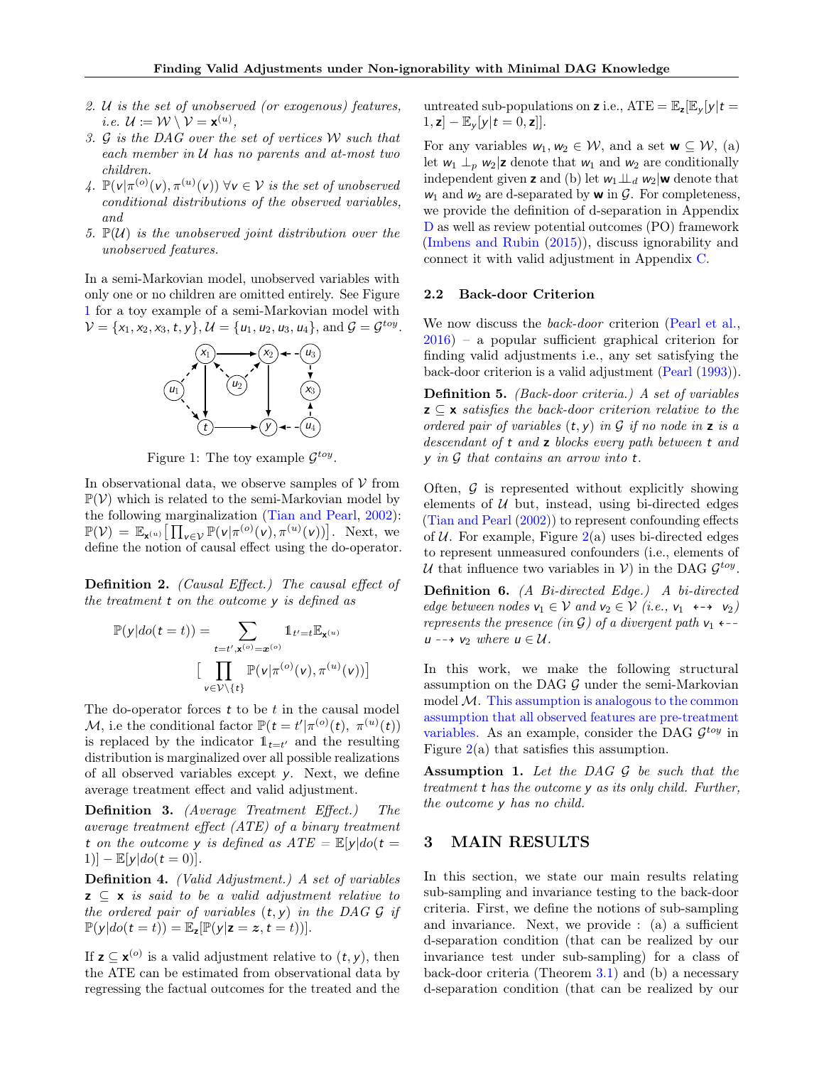- 2. U is the set of unobserved (or exogenous) features, *i.e.*  $\mathcal{U} := \mathcal{W} \setminus \mathcal{V} = \mathbf{x}^{(u)},$
- 3. G is the DAG over the set of vertices W such that each member in  $U$  has no parents and at-most two children.
- 4.  $\mathbb{P}(v | \pi^{(o)}(v), \pi^{(u)}(v)) \ \forall v \in V$  is the set of unobserved conditional distributions of the observed variables, and
- 5.  $\mathbb{P}(\mathcal{U})$  is the unobserved joint distribution over the unobserved features.

<span id="page-3-0"></span>In a semi-Markovian model, unobserved variables with only one or no children are omitted entirely. See Figure [1](#page-3-0) for a toy example of a semi-Markovian model with  $V = \{x_1, x_2, x_3, t, y\}, U = \{u_1, u_2, u_3, u_4\}, \text{ and } \mathcal{G} = \mathcal{G}^{toy}.$ 



Figure 1: The toy example  $\mathcal{G}^{toy}$ .

In observational data, we observe samples of  $V$  from  $\mathbb{P}(\mathcal{V})$  which is related to the semi-Markovian model by the following marginalization [\(Tian and Pearl,](#page-10-5) [2002\)](#page-10-5):  $\mathbb{P}(\mathcal{V}) = \mathbb{E}_{\mathbf{x}^{(u)}} \big[ \prod_{v \in \mathcal{V}} \mathbb{P}(v | \pi^{(o)}(v), \pi^{(u)}(v)) \big].$  Next, we define the notion of causal effect using the do-operator.

Definition 2. (Causal Effect.) The causal effect of the treatment t on the outcome y is defined as

$$
\mathbb{P}(y|do(t=t)) = \sum_{t=t',\mathbf{x}^{(o)}=\mathbf{x}^{(o)}} \mathbb{1}_{t'=t} \mathbb{E}_{\mathbf{x}^{(u)}}
$$

$$
\big[\prod_{v \in \mathcal{V}\setminus\{t\}} \mathbb{P}(v|\pi^{(o)}(v), \pi^{(u)}(v))\big]
$$

The do-operator forces  $t$  to be  $t$  in the causal model M, i.e the conditional factor  $\mathbb{P}(t = t' | \pi^{(o)}(t), \pi^{(u)}(t))$ is replaced by the indicator  $\mathbb{1}_{t=t'}$  and the resulting distribution is marginalized over all possible realizations of all observed variables except y. Next, we define average treatment effect and valid adjustment.

Definition 3. (Average Treatment Effect.) The average treatment effect (ATE) of a binary treatment t on the outcome y is defined as  $ATE = \mathbb{E}[y]do(t =$ 1)]  $- \mathbb{E}[y|do(t=0)].$ 

Definition 4. (Valid Adjustment.) A set of variables  $z \subseteq x$  is said to be a valid adjustment relative to the ordered pair of variables  $(t, y)$  in the DAG G if  $\mathbb{P}(y|do(t=t)) = \mathbb{E}_{z}[\mathbb{P}(y|z=z,t=t))].$ 

If  $z \subseteq x^{(o)}$  is a valid adjustment relative to  $(t, y)$ , then the ATE can be estimated from observational data by regressing the factual outcomes for the treated and the untreated sub-populations on **z** i.e.,  $ATE = \mathbb{E}_{z}[\mathbb{E}_{y} | y|t =$  $[1, \mathbf{z}] - \mathbb{E}_{\mathbf{v}}[y|t=0, \mathbf{z}]].$ 

For any variables  $w_1, w_2 \in \mathcal{W}$ , and a set  $\mathbf{w} \subseteq \mathcal{W}$ , (a) let  $w_1 \perp_p w_2$  **z** denote that  $w_1$  and  $w_2$  are conditionally independent given **z** and (b) let  $w_1 \perp \!\!\!\perp_d w_2$  we denote that  $w_1$  and  $w_2$  are d-separated by **w** in  $\mathcal{G}$ . For completeness, we provide the definition of d-separation in Appendix [D](#page-12-0) as well as review potential outcomes (PO) framework [\(Imbens and Rubin](#page-9-0) [\(2015\)](#page-9-0)), discuss ignorability and connect it with valid adjustment in Appendix [C.](#page-12-1)

#### 2.2 Back-door Criterion

We now discuss the *back-door* criterion [\(Pearl et al.,](#page-10-14) [2016\)](#page-10-14) – a popular sufficient graphical criterion for finding valid adjustments i.e., any set satisfying the back-door criterion is a valid adjustment [\(Pearl](#page-9-4) [\(1993\)](#page-9-4)).

<span id="page-3-3"></span>Definition 5. (Back-door criteria.) A set of variables  $z \subseteq x$  satisfies the back-door criterion relative to the ordered pair of variables  $(t, y)$  in G if no node in z is a descendant of t and z blocks every path between t and  $y$  in  $G$  that contains an arrow into  $t$ .

Often,  $G$  is represented without explicitly showing elements of  $U$  but, instead, using bi-directed edges [\(Tian and Pearl](#page-10-5) [\(2002\)](#page-10-5)) to represent confounding effects of  $U$ . For example, Figure  $2(a)$  $2(a)$  uses bi-directed edges to represent unmeasured confounders (i.e., elements of U that influence two variables in  $V$ ) in the DAG  $\mathcal{G}^{toy}$ .

Definition 6. (A Bi-directed Edge.) A bi-directed edge between nodes  $v_1 \in V$  and  $v_2 \in V$  (i.e.,  $v_1 \leftrightarrow v_2$ ) represents the presence (in G) of a divergent path  $v_1$   $\leftarrow$  $u \rightarrow v_2$  where  $u \in \mathcal{U}$ .

In this work, we make the following structural assumption on the DAG  $G$  under the semi-Markovian model  $M$ . This assumption is analogous to the common assumption that all observed features are pre-treatment variables. As an example, consider the DAG  $\mathcal{G}^{toy}$  in Figure  $2(a)$  $2(a)$  that satisfies this assumption.

<span id="page-3-1"></span>Assumption 1. Let the DAG  $G$  be such that the treatment t has the outcome y as its only child. Further, the outcome y has no child.

### <span id="page-3-2"></span>3 MAIN RESULTS

In this section, we state our main results relating sub-sampling and invariance testing to the back-door criteria. First, we define the notions of sub-sampling and invariance. Next, we provide : (a) a sufficient d-separation condition (that can be realized by our invariance test under sub-sampling) for a class of back-door criteria (Theorem [3.1\)](#page-4-1) and (b) a necessary d-separation condition (that can be realized by our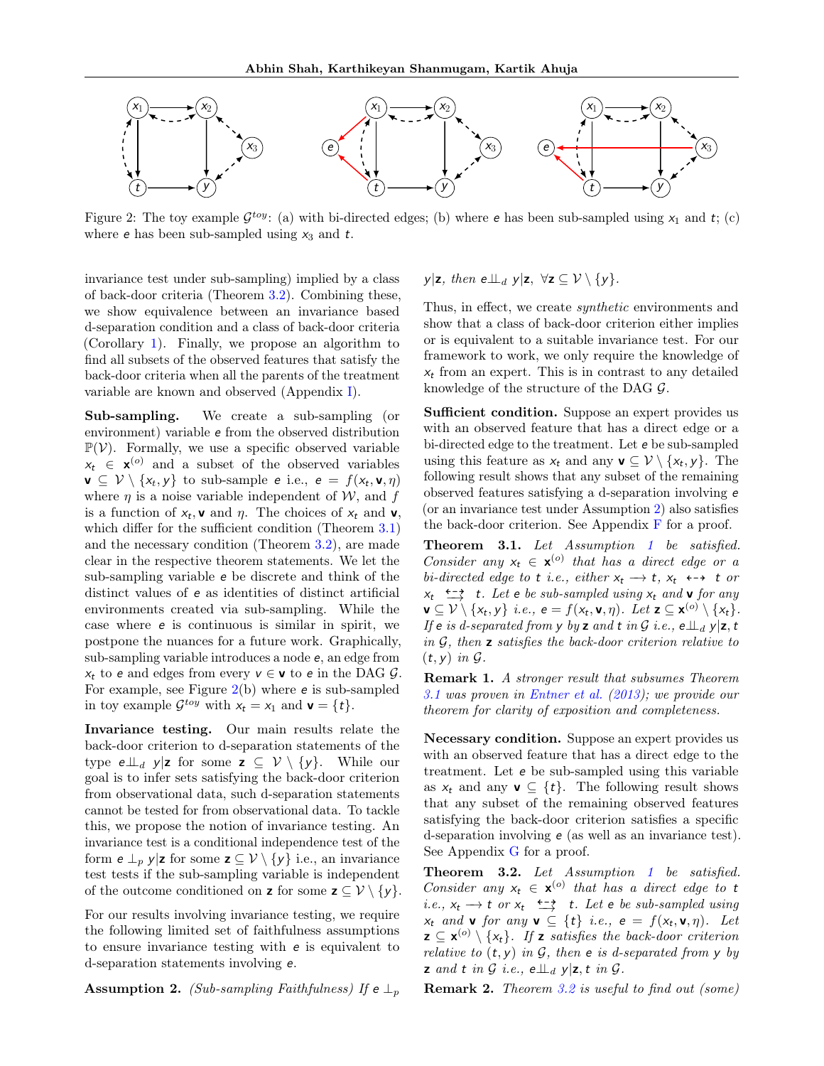<span id="page-4-0"></span>

Figure 2: The toy example  $\mathcal{G}^{toy}$ : (a) with bi-directed edges; (b) where e has been sub-sampled using  $x_1$  and  $t$ ; (c) where **e** has been sub-sampled using  $x_3$  and  $t$ .

invariance test under sub-sampling) implied by a class of back-door criteria (Theorem [3.2\)](#page-4-2). Combining these, we show equivalence between an invariance based d-separation condition and a class of back-door criteria (Corollary [1\)](#page-5-0). Finally, we propose an algorithm to find all subsets of the observed features that satisfy the back-door criteria when all the parents of the treatment variable are known and observed (Appendix [I\)](#page-17-0).

Sub-sampling. We create a sub-sampling (or environment) variable e from the observed distribution  $\mathbb{P}(\mathcal{V})$ . Formally, we use a specific observed variable  $x_t \in \mathbf{x}^{(o)}$  and a subset of the observed variables  $\mathbf{v} \subseteq \mathcal{V} \setminus \{x_t, y\}$  to sub-sample  $e$  i.e.,  $e = f(x_t, \mathbf{v}, \eta)$ where  $\eta$  is a noise variable independent of W, and f is a function of  $x_t$ , **v** and  $\eta$ . The choices of  $x_t$  and **v**, which differ for the sufficient condition (Theorem [3.1\)](#page-4-1) and the necessary condition (Theorem [3.2\)](#page-4-2), are made clear in the respective theorem statements. We let the sub-sampling variable e be discrete and think of the distinct values of e as identities of distinct artificial environments created via sub-sampling. While the case where e is continuous is similar in spirit, we postpone the nuances for a future work. Graphically, sub-sampling variable introduces a node e, an edge from  $x_t$  to e and edges from every  $v \in \mathbf{v}$  to e in the DAG  $\mathcal{G}$ . For example, see Figure  $2(b)$  $2(b)$  where  $e$  is sub-sampled in toy example  $\mathcal{G}^{toy}$  with  $x_t = x_1$  and  $\mathbf{v} = \{t\}.$ 

Invariance testing. Our main results relate the back-door criterion to d-separation statements of the type  $e\perp_{d} y|z$  for some  $z \subseteq V \setminus \{y\}$ . While our goal is to infer sets satisfying the back-door criterion from observational data, such d-separation statements cannot be tested for from observational data. To tackle this, we propose the notion of invariance testing. An invariance test is a conditional independence test of the form  $e \perp_p y | z$  for some  $z \subseteq V \setminus \{y\}$  i.e., an invariance test tests if the sub-sampling variable is independent of the outcome conditioned on **z** for some  $\mathbf{z} \subseteq \mathcal{V} \setminus \{y\}.$ 

For our results involving invariance testing, we require the following limited set of faithfulness assumptions to ensure invariance testing with e is equivalent to d-separation statements involving e.

<span id="page-4-3"></span>Assumption 2. (Sub-sampling Faithfulness) If  $e \perp_p$ 

y|z, then  $e \perp \perp_d y | z, \forall z \subseteq V \setminus \{y\}.$ 

Thus, in effect, we create synthetic environments and show that a class of back-door criterion either implies or is equivalent to a suitable invariance test. For our framework to work, we only require the knowledge of  $x_t$  from an expert. This is in contrast to any detailed knowledge of the structure of the DAG G.

Sufficient condition. Suppose an expert provides us with an observed feature that has a direct edge or a bi-directed edge to the treatment. Let e be sub-sampled using this feature as  $x_t$  and any  $\mathbf{v} \subseteq \mathcal{V} \setminus \{x_t, y\}$ . The following result shows that any subset of the remaining observed features satisfying a d-separation involving e (or an invariance test under Assumption [2\)](#page-4-3) also satisfies the back-door criterion. See Appendix  $F$  for a proof.

<span id="page-4-1"></span>Theorem 3.[1](#page-3-1). Let Assumption 1 be satisfied. Consider any  $x_t \in \mathbf{x}^{(o)}$  that has a direct edge or a bi-directed edge to t i.e., either  $x_t \rightarrow t$ ,  $x_t \leftrightarrow t$  or  $x_t \xrightarrow{\epsilon - \epsilon} t$ . Let  $e$  be sub-sampled using  $x_t$  and **v** for any  $\mathbf{v} \subseteq \mathcal{V} \setminus \{x_t, y\}$  i.e.,  $\mathbf{e} = f(x_t, \mathbf{v}, \eta)$ . Let  $\mathbf{z} \subseteq \mathbf{x}^{(o)} \setminus \{x_t\}$ . If e is d-separated from y by z and t in G i.e.,  $e \perp_d y | z, t$ in  $G$ , then  $z$  satisfies the back-door criterion relative to  $(t, y)$  in  $\mathcal G$ .

Remark 1. A stronger result that subsumes Theorem [3.1](#page-4-1) was proven in [Entner et al.](#page-9-8) [\(2013\)](#page-9-8); we provide our theorem for clarity of exposition and completeness.

Necessary condition. Suppose an expert provides us with an observed feature that has a direct edge to the treatment. Let e be sub-sampled using this variable as  $x_t$  and any  $\mathbf{v} \subseteq \{t\}$ . The following result shows that any subset of the remaining observed features satisfying the back-door criterion satisfies a specific d-separation involving e (as well as an invariance test). See Appendix [G](#page-15-0) for a proof.

<span id="page-4-2"></span>Theorem 3.2. Let Assumption [1](#page-3-1) be satisfied. Consider any  $x_t \in \mathbf{x}^{(o)}$  that has a direct edge to t i.e.,  $x_t \rightarrow t$  or  $x_t \leftrightarrow t$ . Let e be sub-sampled using<br>i.e.,  $x_t \rightarrow t$  or  $x_t \leftrightarrow t$ . Let e be sub-sampled using  $x_t$  and **v** for any **v**  $\subseteq$  {**t**} *i.e.*, **e** =  $f(x_t, \mathbf{v}, \eta)$ . Let  $\mathbf{z} \subseteq \mathbf{x}^{(o)} \setminus \{x_t\}$ . If  $\mathbf{z}$  satisfies the back-door criterion relative to  $(t, y)$  in  $G$ , then e is d-separated from y by **z** and t in  $\mathcal G$  i.e.,  $e \perp \perp_d y | z, t$  in  $\mathcal G$ .

Remark 2. Theorem [3.2](#page-4-2) is useful to find out (some)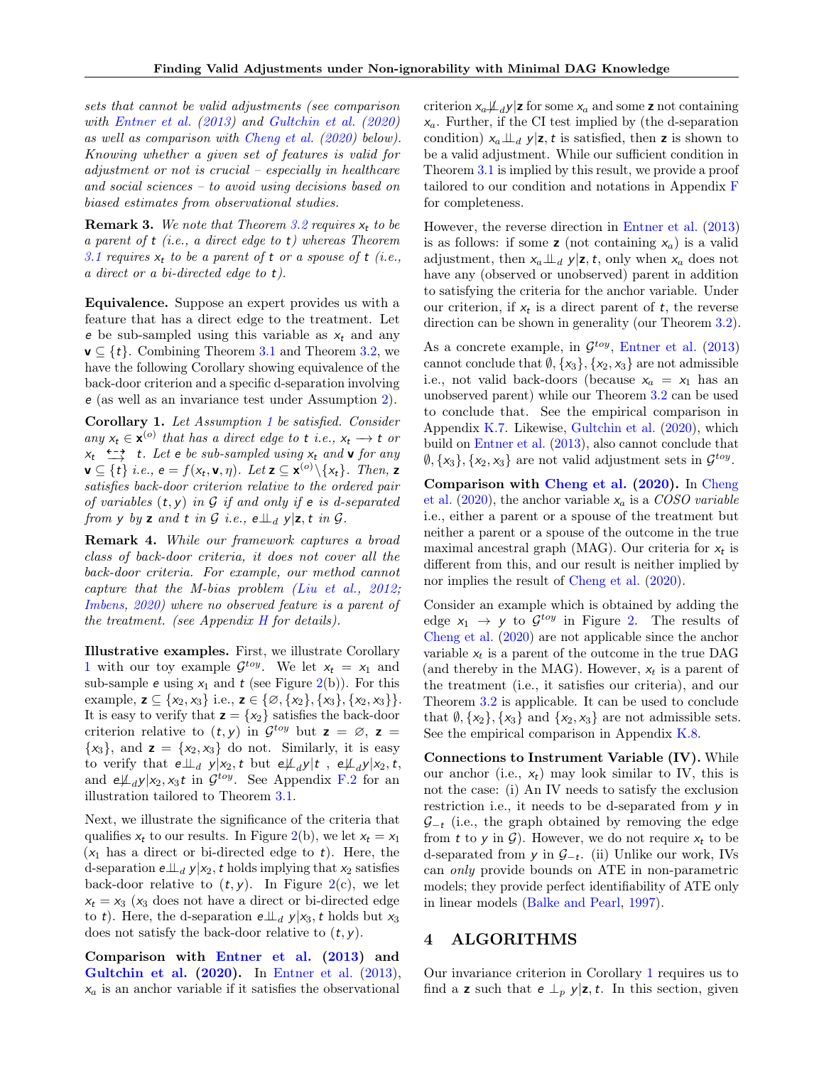sets that cannot be valid adjustments (see comparison with [Entner et al.](#page-9-8) [\(2013\)](#page-9-8) and [Gultchin et al.](#page-9-10) [\(2020\)](#page-9-10) as well as comparison with [Cheng et al.](#page-9-9) [\(2020\)](#page-9-9) below). Knowing whether a given set of features is valid for adjustment or not is crucial – especially in healthcare and social sciences – to avoid using decisions based on biased estimates from observational studies.

**Remark 3.** We note that Theorem [3.2](#page-4-2) requires  $x_t$  to be a parent of t (i.e., a direct edge to t) whereas Theorem [3.1](#page-4-1) requires  $x_t$  to be a parent of t or a spouse of t (i.e., a direct or a bi-directed edge to t).

Equivalence. Suppose an expert provides us with a feature that has a direct edge to the treatment. Let e be sub-sampled using this variable as  $x_t$  and any  $\mathbf{v} \subseteq \{t\}$ . Combining Theorem [3.1](#page-4-1) and Theorem [3.2,](#page-4-2) we have the following Corollary showing equivalence of the back-door criterion and a specific d-separation involving e (as well as an invariance test under Assumption [2\)](#page-4-3).

<span id="page-5-0"></span>Corollary 1. Let Assumption [1](#page-3-1) be satisfied. Consider any  $x_t \in \mathbf{x}^{(o)}$  that has a direct edge to t i.e.,  $x_t \to t$  or  $x, y \leftarrow y$  t. Let e be sub-sampled using  $x_t$  and **v** for any  $\leftarrow$  for  $\left( \frac{1}{2} \right)$  is the sub-sampled using  $x_t$  and **v** for any  $\mathbf{v} \subseteq \{t\}$  i.e.,  $\mathbf{e} = f(x_t, \mathbf{v}, \eta)$ . Let  $\mathbf{z} \subseteq \mathbf{x}^{(o)} \setminus \{x_t\}$ . Then,  $\mathbf{z}$ satisfies back-door criterion relative to the ordered pair of variables  $(t, y)$  in G if and only if  $e$  is d-separated from y by z and t in  $\mathcal G$  i.e.,  $e \perp \perp_d y | z, t$  in  $\mathcal G$ .

<span id="page-5-1"></span>Remark 4. While our framework captures a broad class of back-door criteria, it does not cover all the back-door criteria. For example, our method cannot capture that the M-bias problem [\(Liu et al.,](#page-9-13) [2012;](#page-9-13) [Imbens,](#page-9-14) [2020\)](#page-9-14) where no observed feature is a parent of the treatment. (see Appendix  $H$  for details).

Illustrative examples. First, we illustrate Corollary [1](#page-5-0) with our toy example  $\mathcal{G}^{toy}$ . We let  $x_t = x_1$  and sub-sample **e** using  $x_1$  and **t** (see Figure [2\(](#page-4-0)b)). For this example,  $\mathbf{z} \subseteq \{x_2, x_3\}$  i.e.,  $\mathbf{z} \in \{\emptyset, \{x_2\}, \{x_3\}, \{x_2, x_3\}\}.$ It is easy to verify that  $z = \{x_2\}$  satisfies the back-door criterion relative to  $(t, y)$  in  $\mathcal{G}^{toy}$  but  $z = \emptyset$ ,  $z =$  $\{x_3\}$ , and  $\mathbf{z} = \{x_2, x_3\}$  do not. Similarly, it is easy to verify that  $e \perp \perp_d y | x_2, t$  but  $e \not\perp_d y | t$ ,  $e \not\perp_d y | x_2, t$ , and  $e\mu_d y|x_2, x_3t$  in  $\mathcal{G}^{toy}$ . See Appendix [F.2](#page-14-0) for an illustration tailored to Theorem [3.1.](#page-4-1)

Next, we illustrate the significance of the criteria that qualifies  $x_t$  to our results. In Figure [2\(](#page-4-0)b), we let  $x_t = x_1$  $(x_1)$  has a direct or bi-directed edge to t). Here, the d-separation  $e\perp_{d} \gamma | x_2, t$  holds implying that  $x_2$  satisfies back-door relative to  $(t, y)$ . In Figure [2\(](#page-4-0)c), we let  $x_t = x_3$  (x<sub>3</sub> does not have a direct or bi-directed edge to t). Here, the d-separation  $e \perp u_d$  y|x<sub>3</sub>, t holds but x<sub>3</sub> does not satisfy the back-door relative to  $(t, y)$ .

Comparison with [Entner et al.](#page-9-8) [\(2013\)](#page-9-8) and [Gultchin et al.](#page-9-10) [\(2020\)](#page-9-10). In [Entner et al.](#page-9-8) [\(2013\)](#page-9-8),  $x_a$  is an anchor variable if it satisfies the observational

criterion  $x_a \not\perp_d y$  z for some  $x_a$  and some z not containing  $x_a$ . Further, if the CI test implied by (the d-separation condition)  $x_a \perp u_d$  y|z, t is satisfied, then z is shown to be a valid adjustment. While our sufficient condition in Theorem [3.1](#page-4-1) is implied by this result, we provide a proof tailored to our condition and notations in Appendix [F](#page-13-0) for completeness.

However, the reverse direction in [Entner et al.](#page-9-8) [\(2013\)](#page-9-8) is as follows: if some **z** (not containing  $x_a$ ) is a valid adjustment, then  $x_a \perp u_d$  y|z, t, only when  $x_a$  does not have any (observed or unobserved) parent in addition to satisfying the criteria for the anchor variable. Under our criterion, if  $x_t$  is a direct parent of  $t$ , the reverse direction can be shown in generality (our Theorem [3.2\)](#page-4-2).

As a concrete example, in  $\mathcal{G}^{toy}$ , [Entner et al.](#page-9-8) [\(2013\)](#page-9-8) cannot conclude that  $\emptyset$ ,  $\{x_3\}$ ,  $\{x_2, x_3\}$  are not admissible i.e., not valid back-doors (because  $x_a = x_1$  has an unobserved parent) while our Theorem [3.2](#page-4-2) can be used to conclude that. See the empirical comparison in Appendix [K.7.](#page-23-0) Likewise, [Gultchin et al.](#page-9-10) [\(2020\)](#page-9-10), which build on [Entner et al.](#page-9-8) [\(2013\)](#page-9-8), also cannot conclude that  $\emptyset$ ,  $\{x_3\}$ ,  $\{x_2, x_3\}$  are not valid adjustment sets in  $\mathcal{G}^{toy}$ .

Comparison with [Cheng et al.](#page-9-9) [\(2020\)](#page-9-9). In [Cheng](#page-9-9) [et al.](#page-9-9) [\(2020\)](#page-9-9), the anchor variable  $x_a$  is a COSO variable i.e., either a parent or a spouse of the treatment but neither a parent or a spouse of the outcome in the true maximal ancestral graph (MAG). Our criteria for  $x_t$  is different from this, and our result is neither implied by nor implies the result of [Cheng et al.](#page-9-9) [\(2020\)](#page-9-9).

Consider an example which is obtained by adding the edge  $x_1 \rightarrow y$  to  $\mathcal{G}^{toy}$  in Figure [2.](#page-4-0) The results of [Cheng et al.](#page-9-9) [\(2020\)](#page-9-9) are not applicable since the anchor variable  $x_t$  is a parent of the outcome in the true DAG (and thereby in the MAG). However,  $x_t$  is a parent of the treatment (i.e., it satisfies our criteria), and our Theorem [3.2](#page-4-2) is applicable. It can be used to conclude that  $\emptyset$ ,  $\{x_2\}$ ,  $\{x_3\}$  and  $\{x_2, x_3\}$  are not admissible sets. See the empirical comparison in Appendix [K.8.](#page-24-0)

Connections to Instrument Variable (IV). While our anchor (i.e.,  $x_t$ ) may look similar to IV, this is not the case: (i) An IV needs to satisfy the exclusion restriction i.e., it needs to be d-separated from y in  $\mathcal{G}_{-t}$  (i.e., the graph obtained by removing the edge from t to y in  $\mathcal{G}$ ). However, we do not require  $x_t$  to be d-separated from  $y$  in  $\mathcal{G}_{-t}$ . (ii) Unlike our work, IVs can only provide bounds on ATE in non-parametric models; they provide perfect identifiability of ATE only in linear models [\(Balke and Pearl,](#page-9-15) [1997\)](#page-9-15).

### 4 ALGORITHMS

Our invariance criterion in Corollary [1](#page-5-0) requires us to find a **z** such that  $e \perp_p y | z, t$ . In this section, given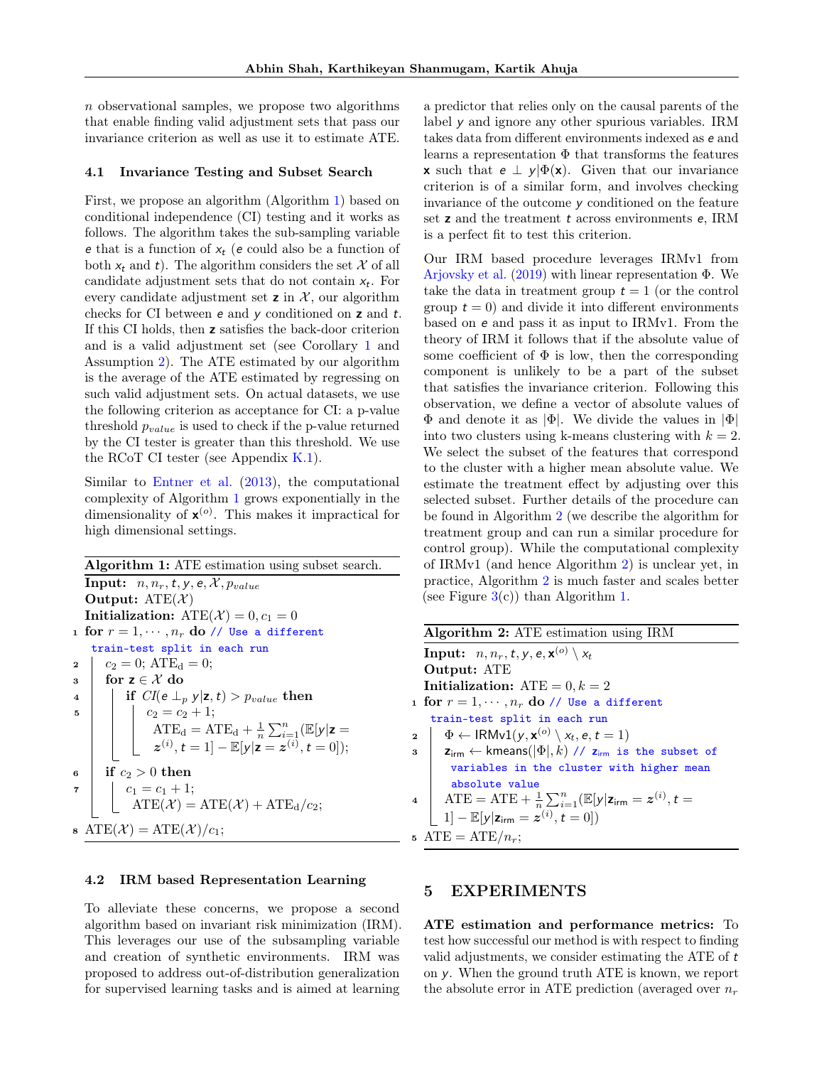$n$  observational samples, we propose two algorithms that enable finding valid adjustment sets that pass our invariance criterion as well as use it to estimate ATE.

#### 4.1 Invariance Testing and Subset Search

First, we propose an algorithm (Algorithm [1\)](#page-6-0) based on conditional independence (CI) testing and it works as follows. The algorithm takes the sub-sampling variable e that is a function of  $x_t$  (e could also be a function of both  $x_t$  and t). The algorithm considers the set X of all candidate adjustment sets that do not contain  $x_t$ . For every candidate adjustment set  $\boldsymbol{z}$  in  $\mathcal{X}$ , our algorithm checks for CI between  $e$  and  $y$  conditioned on  $z$  and  $t$ . If this CI holds, then z satisfies the back-door criterion and is a valid adjustment set (see Corollary [1](#page-5-0) and Assumption [2\)](#page-4-3). The ATE estimated by our algorithm is the average of the ATE estimated by regressing on such valid adjustment sets. On actual datasets, we use the following criterion as acceptance for CI: a p-value threshold  $p_{value}$  is used to check if the p-value returned by the CI tester is greater than this threshold. We use the RCoT CI tester (see Appendix  $K.1$ ).

Similar to [Entner et al.](#page-9-8) [\(2013\)](#page-9-8), the computational complexity of Algorithm [1](#page-6-0) grows exponentially in the dimensionality of  $\mathbf{x}^{(o)}$ . This makes it impractical for high dimensional settings.

Algorithm 1: ATE estimation using subset search. **Input:**  $n, n_r, t, y, e, \mathcal{X}, p_{value}$ Output:  $ATE(X)$ Initialization:  $ATE(X) = 0, c_1 = 0$ 1 for  $r = 1, \dots, n_r$  do // Use a different train-test split in each run 2  $c_2 = 0$ ;  $ATE_d = 0$ ;  $\begin{array}{c|c} \text{3} & \text{for } \textbf{z} \in \mathcal{X} \text{ do} \\ \text{4} & \text{if } \text{CI}(e \perp_{\tau}) \end{array}$ if  $CI(e \perp_p y | z, t) > p_{value}$  then 5 |  $c_2 = c_2 + 1;$  $ATE_d = ATE_d + \frac{1}{n}\sum_{i=1}^n (E[y|z =$  $z^{(i)}$ ,  $t = 1$ ] –  $\mathbb{E}[y|z = z^{(i)}, t = 0]$ );  $\frac{6}{ }$  if  $c_2 > 0$  then  $\begin{array}{|c|c|c|c|c|}\n\hline\n\text{7} & \text{21} = c_1 + 1; \end{array}$  $ATE(\mathcal{X}) = ATE(\mathcal{X}) + ATE_{d}/c_{2};$  $\text{ATE}(\mathcal{X}) = \text{ATE}(\mathcal{X})/c_1;$ 

### <span id="page-6-0"></span>4.2 IRM based Representation Learning

To alleviate these concerns, we propose a second algorithm based on invariant risk minimization (IRM). This leverages our use of the subsampling variable and creation of synthetic environments. IRM was proposed to address out-of-distribution generalization for supervised learning tasks and is aimed at learning a predictor that relies only on the causal parents of the label y and ignore any other spurious variables. IRM takes data from different environments indexed as e and learns a representation  $\Phi$  that transforms the features **x** such that  $e \perp y | \Phi(x)$ . Given that our invariance criterion is of a similar form, and involves checking invariance of the outcome  $y$  conditioned on the feature set **z** and the treatment **t** across environments **e**, IRM is a perfect fit to test this criterion.

Our IRM based procedure leverages IRMv1 from [Arjovsky et al.](#page-9-7)  $(2019)$  with linear representation  $\Phi$ . We take the data in treatment group  $t = 1$  (or the control group  $t = 0$ ) and divide it into different environments based on e and pass it as input to IRMv1. From the theory of IRM it follows that if the absolute value of some coefficient of  $\Phi$  is low, then the corresponding component is unlikely to be a part of the subset that satisfies the invariance criterion. Following this observation, we define a vector of absolute values of Φ and denote it as |Φ|. We divide the values in |Φ| into two clusters using k-means clustering with  $k = 2$ . We select the subset of the features that correspond to the cluster with a higher mean absolute value. We estimate the treatment effect by adjusting over this selected subset. Further details of the procedure can be found in Algorithm [2](#page-6-1) (we describe the algorithm for treatment group and can run a similar procedure for control group). While the computational complexity of IRMv1 (and hence Algorithm [2\)](#page-6-1) is unclear yet, in practice, Algorithm [2](#page-6-1) is much faster and scales better (see Figure  $3(c)$  $3(c)$ ) than Algorithm [1.](#page-6-0)

| <b>Algorithm 2:</b> ATE estimation using IRM                                                                                           |  |  |  |  |  |
|----------------------------------------------------------------------------------------------------------------------------------------|--|--|--|--|--|
| <b>Input:</b> $n, n_r, t, y, e, \mathbf{x}^{(o)} \setminus x_t$                                                                        |  |  |  |  |  |
| <b>Output: ATE</b>                                                                                                                     |  |  |  |  |  |
| Initialization: $ATE = 0, k = 2$                                                                                                       |  |  |  |  |  |
| 1 for $r=1,\cdots,n_r$ do // Use a different                                                                                           |  |  |  |  |  |
| train-test split in each run                                                                                                           |  |  |  |  |  |
| $\mathbf{a} \quad   \quad \Phi \leftarrow \mathsf{IRMv1}(y, \mathbf{x}^{(o)} \setminus x_t, e, t = 1)$                                 |  |  |  |  |  |
| $\mathbf{s}$   $\mathbf{z}_{\text{irm}} \leftarrow \text{kmeans}(\lvert \Phi \rvert, k)$ // $\mathbf{z}_{\text{irm}}$ is the subset of |  |  |  |  |  |
| variables in the cluster with higher mean                                                                                              |  |  |  |  |  |
| absolute value                                                                                                                         |  |  |  |  |  |
| 4   ATE = ATE + $\frac{1}{n} \sum_{i=1}^{n} (\mathbb{E}[y   \mathbf{z}_{\text{irm}} = z^{(i)}, t =$                                    |  |  |  |  |  |
| $ 1  - \mathbb{E}[y \mathbf{z}_{\text{irm}} = z^{(i)}, t = 0])$                                                                        |  |  |  |  |  |
| 5 ATE = ATE/ $n_r$ ;                                                                                                                   |  |  |  |  |  |

### <span id="page-6-2"></span><span id="page-6-1"></span>5 EXPERIMENTS

ATE estimation and performance metrics: To test how successful our method is with respect to finding valid adjustments, we consider estimating the ATE of t on y. When the ground truth ATE is known, we report the absolute error in ATE prediction (averaged over  $n_r$ )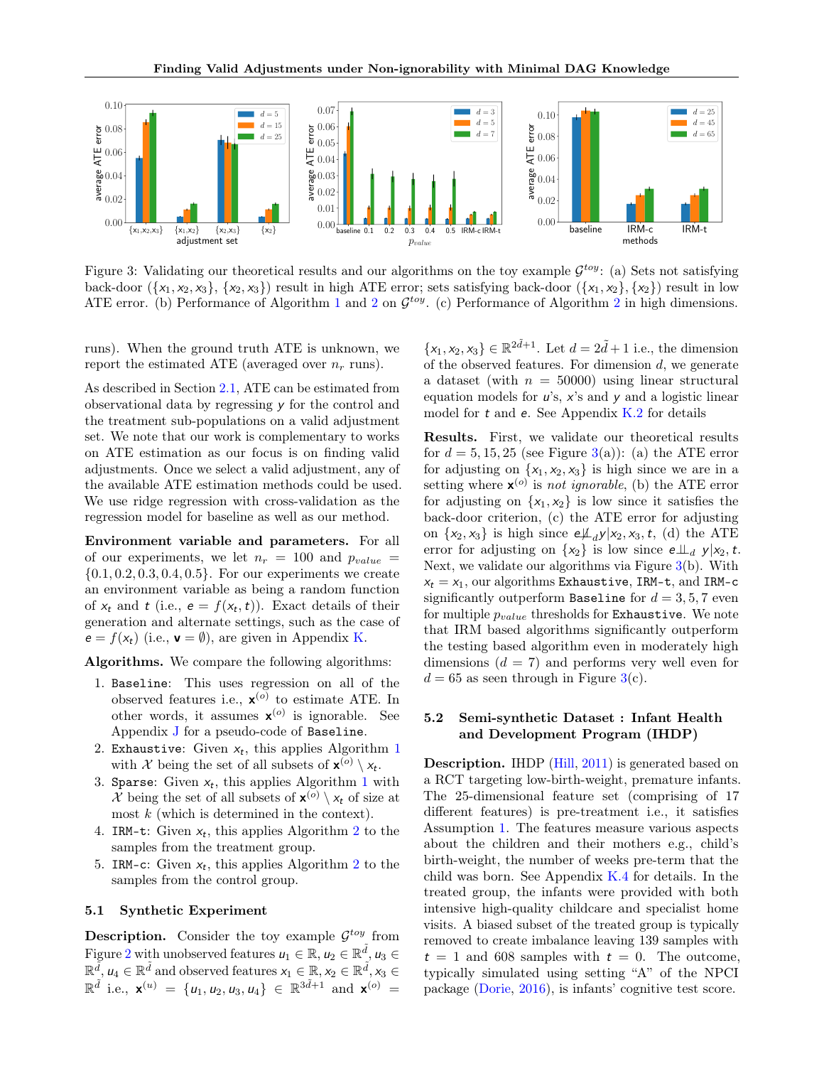<span id="page-7-0"></span>

Figure 3: Validating our theoretical results and our algorithms on the toy example  $\mathcal{G}^{toy}$ : (a) Sets not satisfying back-door  $({x_1, x_2, x_3}, {x_2, x_3})$  result in high ATE error; sets satisfying back-door  $({x_1, x_2}, {x_2})$  result in low ATE error. (b) Performance of Algorithm [1](#page-6-0) and [2](#page-6-1) on  $\mathcal{G}^{toy}$ . (c) Performance of Algorithm 2 in high dimensions.

runs). When the ground truth ATE is unknown, we report the estimated ATE (averaged over  $n_r$  runs).

As described in Section [2.1,](#page-2-0) ATE can be estimated from observational data by regressing y for the control and the treatment sub-populations on a valid adjustment set. We note that our work is complementary to works on ATE estimation as our focus is on finding valid adjustments. Once we select a valid adjustment, any of the available ATE estimation methods could be used. We use ridge regression with cross-validation as the regression model for baseline as well as our method.

Environment variable and parameters. For all of our experiments, we let  $n_r = 100$  and  $p_{value}$  $\{0.1, 0.2, 0.3, 0.4, 0.5\}$ . For our experiments we create an environment variable as being a random function of  $x_t$  and t (i.e.,  $e = f(x_t, t)$ ). Exact details of their generation and alternate settings, such as the case of  $e = f(x_t)$  (i.e.,  $\mathbf{v} = \emptyset$ ), are given in Appendix [K.](#page-19-1)

Algorithms. We compare the following algorithms:

- 1. Baseline: This uses regression on all of the observed features i.e.,  $\mathbf{x}^{(o)}$  to estimate ATE. In other words, it assumes  $\mathbf{x}^{(o)}$  is ignorable. See Appendix [J](#page-19-2) for a pseudo-code of Baseline.
- 2. Exhaustive: Given  $x_t$ , this applies Algorithm [1](#page-6-0) with X being the set of all subsets of  $\mathbf{x}^{(o)} \setminus x_t$ .
- 3. Sparse: Given  $x_t$ , this applies Algorithm [1](#page-6-0) with X being the set of all subsets of  $\mathbf{x}^{(o)} \setminus x_t$  of size at most  $k$  (which is determined in the context).
- 4. IRM-t: Given  $x_t$ , this applies Algorithm [2](#page-6-1) to the samples from the treatment group.
- 5. IRM-c: Given  $x_t$ , this applies Algorithm [2](#page-6-1) to the samples from the control group.

#### <span id="page-7-1"></span>5.1 Synthetic Experiment

**Description.** Consider the toy example  $\mathcal{G}^{toy}$  from Figure [2](#page-4-0) with unobserved features  $u_1 \in \mathbb{R}$ ,  $u_2 \in \mathbb{R}^{\tilde{d}}$ ,  $u_3 \in$  $\mathbb{R}^{\tilde{d}}$ ,  $u_4 \in \mathbb{R}^{\tilde{d}}$  and observed features  $x_1 \in \mathbb{R}$ ,  $x_2 \in \mathbb{R}^{\tilde{d}}$ ,  $x_3 \in$  $\mathbb{R}^{\tilde{d}}$  i.e.,  $\mathbf{x}^{(u)} = \{u_1, u_2, u_3, u_4\} \in \mathbb{R}^{3\tilde{d}+1}$  and  $\mathbf{x}^{(o)} =$ 

 ${x_1, x_2, x_3} \in \mathbb{R}^{2\tilde{d}+1}$ . Let  $d = 2\tilde{d} + 1$  i.e., the dimension of the observed features. For dimension  $d$ , we generate a dataset (with  $n = 50000$ ) using linear structural equation models for  $u$ 's,  $x$ 's and  $y$  and a logistic linear model for  $t$  and  $e$ . See Appendix  $K.2$  for details

Results. First, we validate our theoretical results for  $d = 5, 15, 25$  (see Figure [3\(](#page-7-0)a)): (a) the ATE error for adjusting on  $\{x_1, x_2, x_3\}$  is high since we are in a setting where  $\mathbf{x}^{(o)}$  is not ignorable, (b) the ATE error for adjusting on  $\{x_1, x_2\}$  is low since it satisfies the back-door criterion, (c) the ATE error for adjusting on  $\{x_2, x_3\}$  is high since  $e\mathcal{L}_d y|x_2, x_3, t$ , (d) the ATE error for adjusting on  $\{x_2\}$  is low since  $e\perp \!\!\! \perp_d y|x_2,t$ . Next, we validate our algorithms via Figure [3\(](#page-7-0)b). With  $x_t = x_1$ , our algorithms Exhaustive, IRM-t, and IRM-c significantly outperform Baseline for  $d = 3, 5, 7$  even for multiple  $p_{value}$  thresholds for Exhaustive. We note that IRM based algorithms significantly outperform the testing based algorithm even in moderately high dimensions  $(d = 7)$  and performs very well even for  $d = 65$  as seen through in Figure [3\(](#page-7-0)c).

### <span id="page-7-2"></span>5.2 Semi-synthetic Dataset : Infant Health and Development Program (IHDP)

Description. IHDP [\(Hill,](#page-9-16) [2011\)](#page-9-16) is generated based on a RCT targeting low-birth-weight, premature infants. The 25-dimensional feature set (comprising of 17 different features) is pre-treatment i.e., it satisfies Assumption [1.](#page-3-1) The features measure various aspects about the children and their mothers e.g., child's birth-weight, the number of weeks pre-term that the child was born. See Appendix [K.4](#page-22-0) for details. In the treated group, the infants were provided with both intensive high-quality childcare and specialist home visits. A biased subset of the treated group is typically removed to create imbalance leaving 139 samples with  $t = 1$  and 608 samples with  $t = 0$ . The outcome, typically simulated using setting "A" of the NPCI package [\(Dorie,](#page-9-17) [2016\)](#page-9-17), is infants' cognitive test score.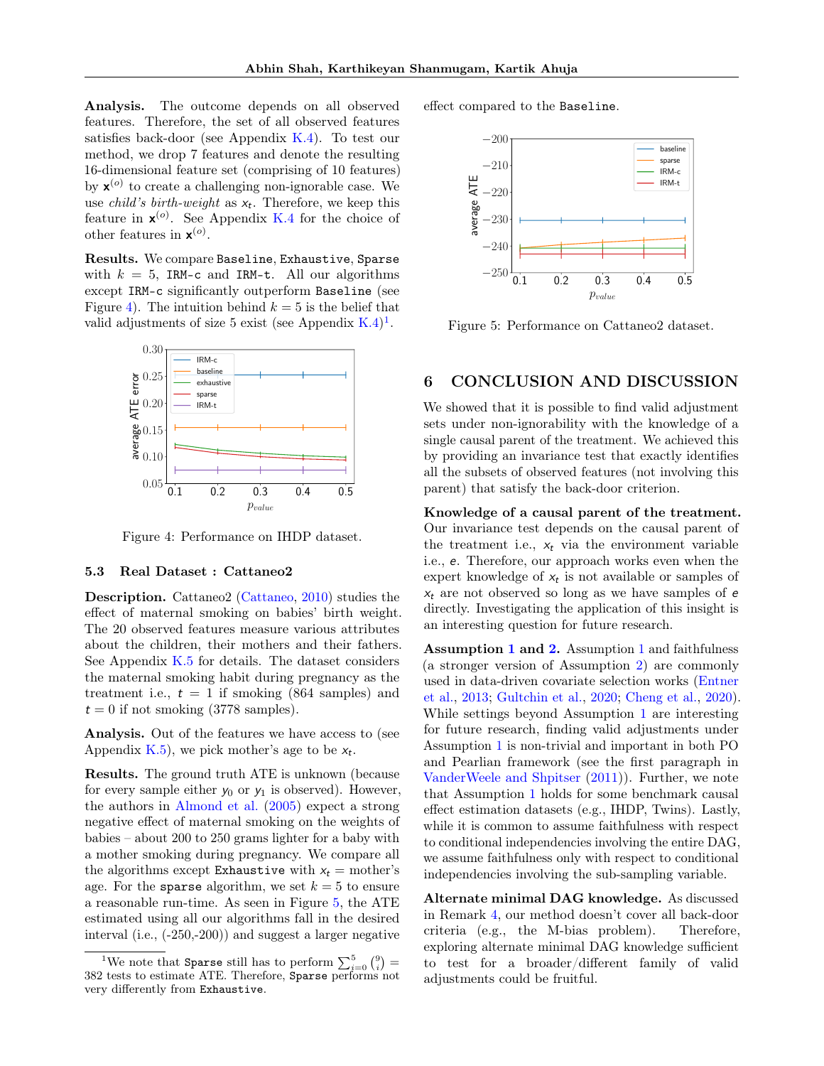Analysis. The outcome depends on all observed features. Therefore, the set of all observed features satisfies back-door (see Appendix  $K(4)$ ). To test our method, we drop 7 features and denote the resulting 16-dimensional feature set (comprising of 10 features) by  $\mathbf{x}^{(o)}$  to create a challenging non-ignorable case. We use *child's birth-weight* as  $x_t$ . Therefore, we keep this feature in  $\mathbf{x}^{(o)}$ . See Appendix [K.4](#page-22-0) for the choice of other features in  $\mathbf{x}^{(o)}$ .

Results. We compare Baseline, Exhaustive, Sparse with  $k = 5$ , IRM-c and IRM-t. All our algorithms except IRM-c significantly outperform Baseline (see Figure [4\)](#page-8-0). The intuition behind  $k = 5$  is the belief that valid adjustments of size 5 exist (see Appendix  $K.4$ )<sup>[1](#page-8-1)</sup>.

<span id="page-8-0"></span>

Figure 4: Performance on IHDP dataset.

#### <span id="page-8-3"></span>5.3 Real Dataset : Cattaneo2

Description. Cattaneo2 [\(Cattaneo,](#page-9-18) [2010\)](#page-9-18) studies the effect of maternal smoking on babies' birth weight. The 20 observed features measure various attributes about the children, their mothers and their fathers. See Appendix [K.5](#page-23-1) for details. The dataset considers the maternal smoking habit during pregnancy as the treatment i.e.,  $t = 1$  if smoking (864 samples) and  $t = 0$  if not smoking (3778 samples).

Analysis. Out of the features we have access to (see Appendix [K.5\)](#page-23-1), we pick mother's age to be  $x_t$ .

Results. The ground truth ATE is unknown (because for every sample either  $y_0$  or  $y_1$  is observed). However, the authors in [Almond et al.](#page-9-19) [\(2005\)](#page-9-19) expect a strong negative effect of maternal smoking on the weights of babies – about 200 to 250 grams lighter for a baby with a mother smoking during pregnancy. We compare all the algorithms except Exhaustive with  $x_t =$  mother's age. For the sparse algorithm, we set  $k = 5$  to ensure a reasonable run-time. As seen in Figure [5,](#page-8-2) the ATE estimated using all our algorithms fall in the desired interval (i.e., (-250,-200)) and suggest a larger negative <span id="page-8-2"></span>effect compared to the Baseline.



Figure 5: Performance on Cattaneo2 dataset.

# 6 CONCLUSION AND DISCUSSION

We showed that it is possible to find valid adjustment sets under non-ignorability with the knowledge of a single causal parent of the treatment. We achieved this by providing an invariance test that exactly identifies all the subsets of observed features (not involving this parent) that satisfy the back-door criterion.

Knowledge of a causal parent of the treatment. Our invariance test depends on the causal parent of the treatment i.e.,  $x_t$  via the environment variable i.e., e. Therefore, our approach works even when the expert knowledge of  $x_t$  is not available or samples of  $x_t$  are not observed so long as we have samples of  $e$ directly. Investigating the application of this insight is an interesting question for future research.

Assumption [1](#page-3-1) and [2.](#page-4-3) Assumption [1](#page-3-1) and faithfulness (a stronger version of Assumption [2\)](#page-4-3) are commonly used in data-driven covariate selection works [\(Entner](#page-9-8) [et al.,](#page-9-8) [2013;](#page-9-8) [Gultchin et al.,](#page-9-10) [2020;](#page-9-10) [Cheng et al.,](#page-9-9) [2020\)](#page-9-9). While settings beyond Assumption [1](#page-3-1) are interesting for future research, finding valid adjustments under Assumption [1](#page-3-1) is non-trivial and important in both PO and Pearlian framework (see the first paragraph in [VanderWeele and Shpitser](#page-10-9) [\(2011\)](#page-10-9)). Further, we note that Assumption [1](#page-3-1) holds for some benchmark causal effect estimation datasets (e.g., IHDP, Twins). Lastly, while it is common to assume faithfulness with respect to conditional independencies involving the entire DAG, we assume faithfulness only with respect to conditional independencies involving the sub-sampling variable.

Alternate minimal DAG knowledge. As discussed in Remark [4,](#page-5-1) our method doesn't cover all back-door criteria (e.g., the M-bias problem). Therefore, exploring alternate minimal DAG knowledge sufficient to test for a broader/different family of valid adjustments could be fruitful.

<span id="page-8-1"></span><sup>&</sup>lt;sup>1</sup>We note that **Sparse** still has to perform  $\sum_{i=0}^{5} {9 \choose i}$ 382 tests to estimate ATE. Therefore, Sparse performs not very differently from Exhaustive.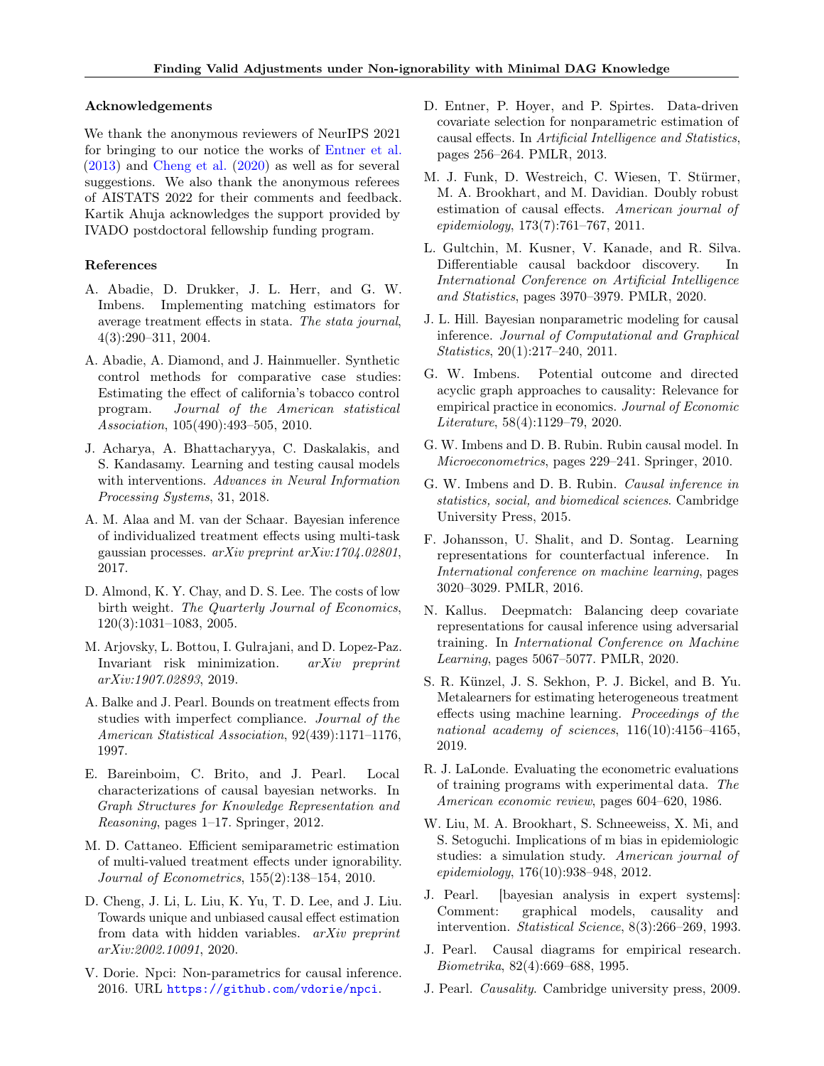#### Acknowledgements

We thank the anonymous reviewers of NeurIPS 2021 for bringing to our notice the works of [Entner et al.](#page-9-8) [\(2013\)](#page-9-8) and [Cheng et al.](#page-9-9) [\(2020\)](#page-9-9) as well as for several suggestions. We also thank the anonymous referees of AISTATS 2022 for their comments and feedback. Kartik Ahuja acknowledges the support provided by IVADO postdoctoral fellowship funding program.

### References

- <span id="page-9-23"></span>A. Abadie, D. Drukker, J. L. Herr, and G. W. Imbens. Implementing matching estimators for average treatment effects in stata. The stata journal, 4(3):290–311, 2004.
- <span id="page-9-21"></span>A. Abadie, A. Diamond, and J. Hainmueller. Synthetic control methods for comparative case studies: Estimating the effect of california's tobacco control program. Journal of the American statistical Association, 105(490):493–505, 2010.
- <span id="page-9-12"></span>J. Acharya, A. Bhattacharyya, C. Daskalakis, and S. Kandasamy. Learning and testing causal models with interventions. Advances in Neural Information Processing Systems, 31, 2018.
- <span id="page-9-1"></span>A. M. Alaa and M. van der Schaar. Bayesian inference of individualized treatment effects using multi-task gaussian processes. arXiv preprint arXiv:1704.02801, 2017.
- <span id="page-9-19"></span>D. Almond, K. Y. Chay, and D. S. Lee. The costs of low birth weight. The Quarterly Journal of Economics, 120(3):1031–1083, 2005.
- <span id="page-9-7"></span>M. Arjovsky, L. Bottou, I. Gulrajani, and D. Lopez-Paz. Invariant risk minimization. arXiv preprint arXiv:1907.02893, 2019.
- <span id="page-9-15"></span>A. Balke and J. Pearl. Bounds on treatment effects from studies with imperfect compliance. Journal of the American Statistical Association, 92(439):1171–1176, 1997.
- <span id="page-9-11"></span>E. Bareinboim, C. Brito, and J. Pearl. Local characterizations of causal bayesian networks. In Graph Structures for Knowledge Representation and Reasoning, pages 1–17. Springer, 2012.
- <span id="page-9-18"></span>M. D. Cattaneo. Efficient semiparametric estimation of multi-valued treatment effects under ignorability. Journal of Econometrics, 155(2):138–154, 2010.
- <span id="page-9-9"></span>D. Cheng, J. Li, L. Liu, K. Yu, T. D. Lee, and J. Liu. Towards unique and unbiased causal effect estimation from data with hidden variables. arXiv preprint arXiv:2002.10091, 2020.
- <span id="page-9-17"></span>V. Dorie. Npci: Non-parametrics for causal inference. 2016. URL <https://github.com/vdorie/npci>.
- <span id="page-9-8"></span>D. Entner, P. Hoyer, and P. Spirtes. Data-driven covariate selection for nonparametric estimation of causal effects. In Artificial Intelligence and Statistics, pages 256–264. PMLR, 2013.
- <span id="page-9-6"></span>M. J. Funk, D. Westreich, C. Wiesen, T. Stürmer, M. A. Brookhart, and M. Davidian. Doubly robust estimation of causal effects. American journal of epidemiology, 173(7):761–767, 2011.
- <span id="page-9-10"></span>L. Gultchin, M. Kusner, V. Kanade, and R. Silva. Differentiable causal backdoor discovery. In International Conference on Artificial Intelligence and Statistics, pages 3970–3979. PMLR, 2020.
- <span id="page-9-16"></span>J. L. Hill. Bayesian nonparametric modeling for causal inference. Journal of Computational and Graphical Statistics, 20(1):217–240, 2011.
- <span id="page-9-14"></span>G. W. Imbens. Potential outcome and directed acyclic graph approaches to causality: Relevance for empirical practice in economics. Journal of Economic Literature, 58(4):1129–79, 2020.
- <span id="page-9-20"></span>G. W. Imbens and D. B. Rubin. Rubin causal model. In Microeconometrics, pages 229–241. Springer, 2010.
- <span id="page-9-0"></span>G. W. Imbens and D. B. Rubin. Causal inference in statistics, social, and biomedical sciences. Cambridge University Press, 2015.
- <span id="page-9-24"></span>F. Johansson, U. Shalit, and D. Sontag. Learning representations for counterfactual inference. In International conference on machine learning, pages 3020–3029. PMLR, 2016.
- <span id="page-9-25"></span>N. Kallus. Deepmatch: Balancing deep covariate representations for causal inference using adversarial training. In International Conference on Machine Learning, pages 5067–5077. PMLR, 2020.
- <span id="page-9-22"></span>S. R. Künzel, J. S. Sekhon, P. J. Bickel, and B. Yu. Metalearners for estimating heterogeneous treatment effects using machine learning. Proceedings of the national academy of sciences,  $116(10):4156-4165$ , 2019.
- <span id="page-9-2"></span>R. J. LaLonde. Evaluating the econometric evaluations of training programs with experimental data. The American economic review, pages 604–620, 1986.
- <span id="page-9-13"></span>W. Liu, M. A. Brookhart, S. Schneeweiss, X. Mi, and S. Setoguchi. Implications of m bias in epidemiologic studies: a simulation study. American journal of epidemiology, 176(10):938–948, 2012.
- <span id="page-9-4"></span>J. Pearl. [bayesian analysis in expert systems]: Comment: graphical models, causality and intervention. Statistical Science, 8(3):266–269, 1993.
- <span id="page-9-5"></span>J. Pearl. Causal diagrams for empirical research. Biometrika, 82(4):669–688, 1995.
- <span id="page-9-3"></span>J. Pearl. Causality. Cambridge university press, 2009.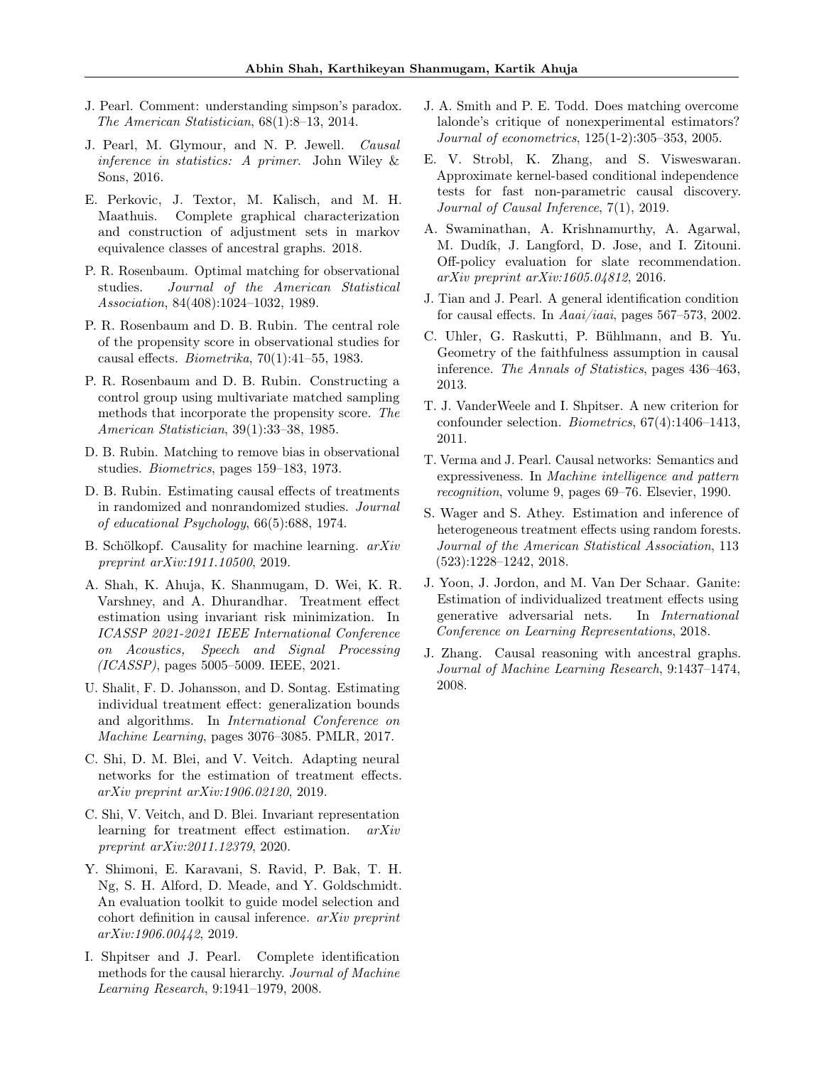- <span id="page-10-2"></span>J. Pearl. Comment: understanding simpson's paradox. The American Statistician, 68(1):8–13, 2014.
- <span id="page-10-14"></span>J. Pearl, M. Glymour, and N. P. Jewell. Causal inference in statistics: A primer. John Wiley & Sons, 2016.
- <span id="page-10-8"></span>E. Perkovic, J. Textor, M. Kalisch, and M. H. Maathuis. Complete graphical characterization and construction of adjustment sets in markov equivalence classes of ancestral graphs. 2018.
- <span id="page-10-19"></span>P. R. Rosenbaum. Optimal matching for observational studies. Journal of the American Statistical Association, 84(408):1024–1032, 1989.
- <span id="page-10-15"></span>P. R. Rosenbaum and D. B. Rubin. The central role of the propensity score in observational studies for causal effects. Biometrika, 70(1):41–55, 1983.
- <span id="page-10-16"></span>P. R. Rosenbaum and D. B. Rubin. Constructing a control group using multivariate matched sampling methods that incorporate the propensity score. The American Statistician, 39(1):33–38, 1985.
- <span id="page-10-18"></span>D. B. Rubin. Matching to remove bias in observational studies. Biometrics, pages 159–183, 1973.
- <span id="page-10-3"></span>D. B. Rubin. Estimating causal effects of treatments in randomized and nonrandomized studies. Journal of educational Psychology, 66(5):688, 1974.
- <span id="page-10-10"></span>B. Schölkopf. Causality for machine learning. arXiv preprint arXiv:1911.10500, 2019.
- <span id="page-10-12"></span>A. Shah, K. Ahuja, K. Shanmugam, D. Wei, K. R. Varshney, and A. Dhurandhar. Treatment effect estimation using invariant risk minimization. In ICASSP 2021-2021 IEEE International Conference on Acoustics, Speech and Signal Processing (ICASSP), pages 5005–5009. IEEE, 2021.
- <span id="page-10-0"></span>U. Shalit, F. D. Johansson, and D. Sontag. Estimating individual treatment effect: generalization bounds and algorithms. In International Conference on Machine Learning, pages 3076–3085. PMLR, 2017.
- <span id="page-10-20"></span>C. Shi, D. M. Blei, and V. Veitch. Adapting neural networks for the estimation of treatment effects. arXiv preprint arXiv:1906.02120, 2019.
- <span id="page-10-11"></span>C. Shi, V. Veitch, and D. Blei. Invariant representation learning for treatment effect estimation. arXiv preprint arXiv:2011.12379, 2020.
- <span id="page-10-24"></span>Y. Shimoni, E. Karavani, S. Ravid, P. Bak, T. H. Ng, S. H. Alford, D. Meade, and Y. Goldschmidt. An evaluation toolkit to guide model selection and cohort definition in causal inference. arXiv preprint arXiv:1906.00442, 2019.
- <span id="page-10-6"></span>I. Shpitser and J. Pearl. Complete identification methods for the causal hierarchy. Journal of Machine Learning Research, 9:1941–1979, 2008.
- <span id="page-10-1"></span>J. A. Smith and P. E. Todd. Does matching overcome lalonde's critique of nonexperimental estimators? Journal of econometrics, 125(1-2):305–353, 2005.
- <span id="page-10-22"></span>E. V. Strobl, K. Zhang, and S. Visweswaran. Approximate kernel-based conditional independence tests for fast non-parametric causal discovery. Journal of Causal Inference, 7(1), 2019.
- <span id="page-10-4"></span>A. Swaminathan, A. Krishnamurthy, A. Agarwal, M. Dudík, J. Langford, D. Jose, and I. Zitouni. Off-policy evaluation for slate recommendation. arXiv preprint arXiv:1605.04812, 2016.
- <span id="page-10-5"></span>J. Tian and J. Pearl. A general identification condition for causal effects. In Aaai/iaai, pages 567–573, 2002.
- <span id="page-10-23"></span>C. Uhler, G. Raskutti, P. Bühlmann, and B. Yu. Geometry of the faithfulness assumption in causal inference. The Annals of Statistics, pages 436–463, 2013.
- <span id="page-10-9"></span>T. J. VanderWeele and I. Shpitser. A new criterion for confounder selection. Biometrics, 67(4):1406–1413, 2011.
- <span id="page-10-13"></span>T. Verma and J. Pearl. Causal networks: Semantics and expressiveness. In Machine intelligence and pattern recognition, volume 9, pages 69–76. Elsevier, 1990.
- <span id="page-10-17"></span>S. Wager and S. Athey. Estimation and inference of heterogeneous treatment effects using random forests. Journal of the American Statistical Association, 113 (523):1228–1242, 2018.
- <span id="page-10-21"></span>J. Yoon, J. Jordon, and M. Van Der Schaar. Ganite: Estimation of individualized treatment effects using generative adversarial nets. In International Conference on Learning Representations, 2018.
- <span id="page-10-7"></span>J. Zhang. Causal reasoning with ancestral graphs. Journal of Machine Learning Research, 9:1437–1474, 2008.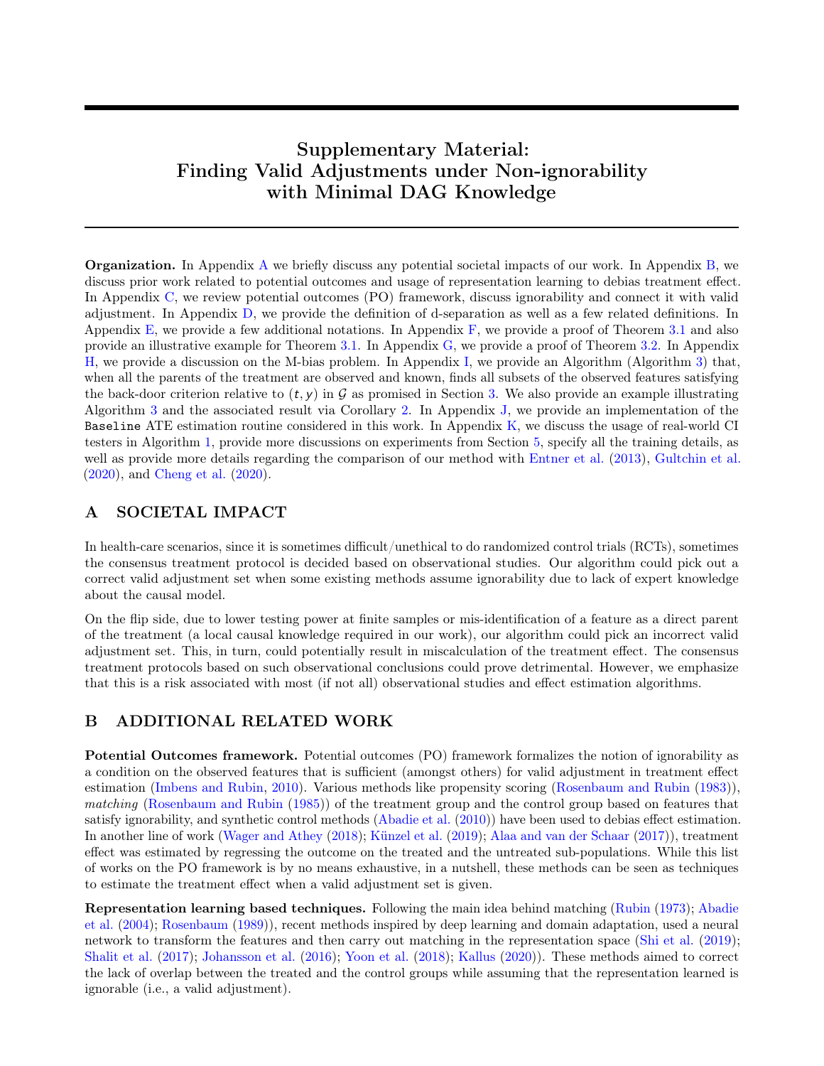# Supplementary Material: Finding Valid Adjustments under Non-ignorability with Minimal DAG Knowledge

Organization. In Appendix [A](#page-11-1) we briefly discuss any potential societal impacts of our work. In Appendix [B,](#page-11-0) we discuss prior work related to potential outcomes and usage of representation learning to debias treatment effect. In Appendix [C,](#page-12-1) we review potential outcomes (PO) framework, discuss ignorability and connect it with valid adjustment. In Appendix [D,](#page-12-0) we provide the definition of d-separation as well as a few related definitions. In Appendix [E,](#page-13-1) we provide a few additional notations. In Appendix  $F$ , we provide a proof of Theorem [3.1](#page-4-1) and also provide an illustrative example for Theorem [3.1.](#page-4-1) In Appendix [G,](#page-15-0) we provide a proof of Theorem [3.2.](#page-4-2) In Appendix [H,](#page-17-1) we provide a discussion on the M-bias problem. In Appendix [I,](#page-17-0) we provide an Algorithm (Algorithm [3\)](#page-17-2) that, when all the parents of the treatment are observed and known, finds all subsets of the observed features satisfying the back-door criterion relative to  $(t, y)$  in G as promised in Section [3.](#page-3-2) We also provide an example illustrating Algorithm [3](#page-17-2) and the associated result via Corollary [2.](#page-18-0) In Appendix [J,](#page-19-2) we provide an implementation of the Baseline ATE estimation routine considered in this work. In Appendix [K,](#page-19-1) we discuss the usage of real-world CI testers in Algorithm [1,](#page-6-0) provide more discussions on experiments from Section [5,](#page-6-2) specify all the training details, as well as provide more details regarding the comparison of our method with [Entner et al.](#page-9-8) [\(2013\)](#page-9-8), [Gultchin et al.](#page-9-10) [\(2020\)](#page-9-10), and [Cheng et al.](#page-9-9) [\(2020\)](#page-9-9).

# <span id="page-11-1"></span>A SOCIETAL IMPACT

In health-care scenarios, since it is sometimes difficult/unethical to do randomized control trials (RCTs), sometimes the consensus treatment protocol is decided based on observational studies. Our algorithm could pick out a correct valid adjustment set when some existing methods assume ignorability due to lack of expert knowledge about the causal model.

On the flip side, due to lower testing power at finite samples or mis-identification of a feature as a direct parent of the treatment (a local causal knowledge required in our work), our algorithm could pick an incorrect valid adjustment set. This, in turn, could potentially result in miscalculation of the treatment effect. The consensus treatment protocols based on such observational conclusions could prove detrimental. However, we emphasize that this is a risk associated with most (if not all) observational studies and effect estimation algorithms.

## <span id="page-11-0"></span>B ADDITIONAL RELATED WORK

Potential Outcomes framework. Potential outcomes (PO) framework formalizes the notion of ignorability as a condition on the observed features that is sufficient (amongst others) for valid adjustment in treatment effect estimation [\(Imbens and Rubin,](#page-9-20) [2010\)](#page-9-20). Various methods like propensity scoring [\(Rosenbaum and Rubin](#page-10-15) [\(1983\)](#page-10-15)), matching [\(Rosenbaum and Rubin](#page-10-16) [\(1985\)](#page-10-16)) of the treatment group and the control group based on features that satisfy ignorability, and synthetic control methods [\(Abadie et al.](#page-9-21) [\(2010\)](#page-9-21)) have been used to debias effect estimation. In another line of work [\(Wager and Athey](#page-10-17) [\(2018\)](#page-10-17); [Künzel et al.](#page-9-22) [\(2019\)](#page-9-22); [Alaa and van der Schaar](#page-9-1) [\(2017\)](#page-9-1)), treatment effect was estimated by regressing the outcome on the treated and the untreated sub-populations. While this list of works on the PO framework is by no means exhaustive, in a nutshell, these methods can be seen as techniques to estimate the treatment effect when a valid adjustment set is given.

Representation learning based techniques. Following the main idea behind matching [\(Rubin](#page-10-18) [\(1973\)](#page-10-18); [Abadie](#page-9-23) [et al.](#page-9-23) [\(2004\)](#page-9-23); [Rosenbaum](#page-10-19) [\(1989\)](#page-10-19)), recent methods inspired by deep learning and domain adaptation, used a neural network to transform the features and then carry out matching in the representation space [\(Shi et al.](#page-10-20) [\(2019\)](#page-10-20); [Shalit et al.](#page-10-0) [\(2017\)](#page-10-0); [Johansson et al.](#page-9-24) [\(2016\)](#page-9-24); [Yoon et al.](#page-10-21) [\(2018\)](#page-10-21); [Kallus](#page-9-25) [\(2020\)](#page-9-25)). These methods aimed to correct the lack of overlap between the treated and the control groups while assuming that the representation learned is ignorable (i.e., a valid adjustment).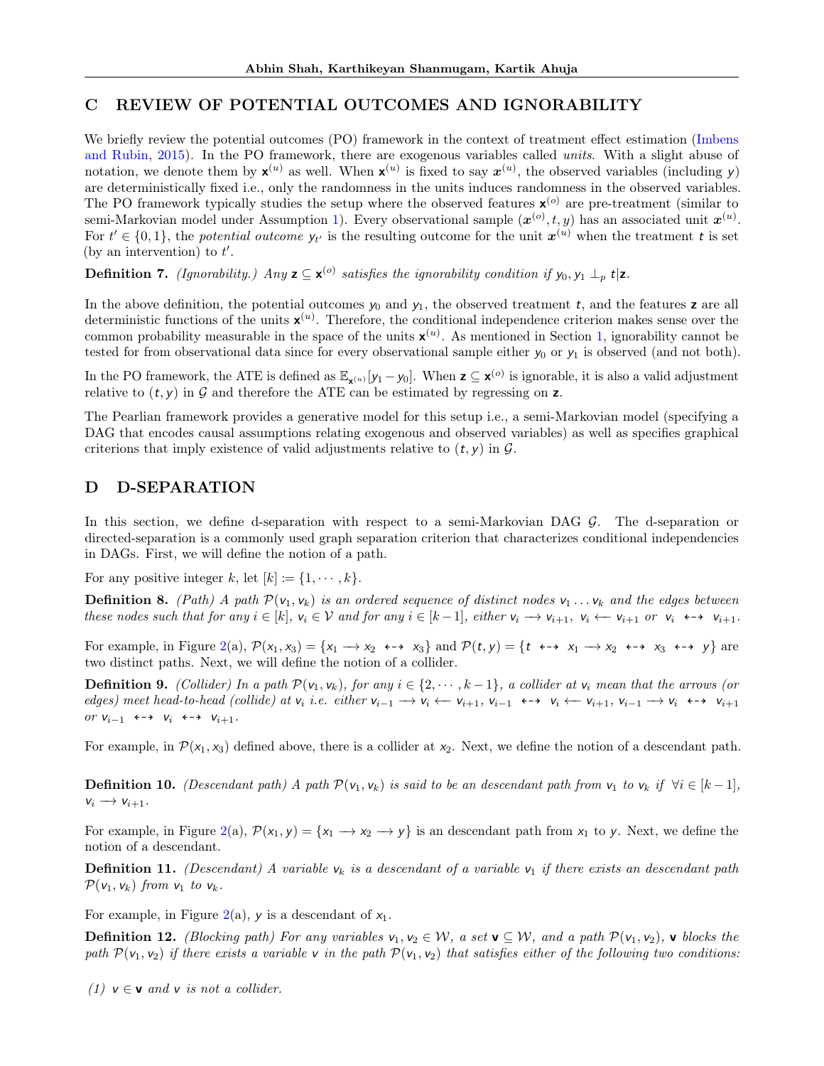# <span id="page-12-1"></span>C REVIEW OF POTENTIAL OUTCOMES AND IGNORABILITY

We briefly review the potential outcomes (PO) framework in the context of treatment effect estimation [\(Imbens](#page-9-0) [and Rubin,](#page-9-0) [2015\)](#page-9-0). In the PO framework, there are exogenous variables called units. With a slight abuse of notation, we denote them by  $\mathbf{x}^{(u)}$  as well. When  $\mathbf{x}^{(u)}$  is fixed to say  $\mathbf{x}^{(u)}$ , the observed variables (including y) are deterministically fixed i.e., only the randomness in the units induces randomness in the observed variables. The PO framework typically studies the setup where the observed features  $\mathbf{x}^{(o)}$  are pre-treatment (similar to semi-Markovian model under Assumption [1\)](#page-3-1). Every observational sample  $(x^{(o)}, t, y)$  has an associated unit  $x^{(u)}$ . For  $t' \in \{0,1\}$ , the *potential outcome*  $y_{t'}$  is the resulting outcome for the unit  $x^{(u)}$  when the treatment t is set (by an intervention) to  $t'$ .

**Definition 7.** (Ignorability.) Any  $z \subseteq x^{(o)}$  satisfies the ignorability condition if  $y_0, y_1 \perp_p t | z$ .

In the above definition, the potential outcomes  $y_0$  and  $y_1$ , the observed treatment t, and the features z are all deterministic functions of the units  $\mathbf{x}^{(u)}$ . Therefore, the conditional independence criterion makes sense over the common probability measurable in the space of the units  $x^{(u)}$ . As mentioned in Section [1,](#page-0-0) ignorability cannot be tested for from observational data since for every observational sample either  $y_0$  or  $y_1$  is observed (and not both).

In the PO framework, the ATE is defined as  $\mathbb{E}_{\mathbf{x}^{(u)}}[y_1 - y_0]$ . When  $\mathbf{z} \subseteq \mathbf{x}^{(o)}$  is ignorable, it is also a valid adjustment relative to  $(t, y)$  in  $\mathcal G$  and therefore the ATE can be estimated by regressing on z.

The Pearlian framework provides a generative model for this setup i.e., a semi-Markovian model (specifying a DAG that encodes causal assumptions relating exogenous and observed variables) as well as specifies graphical criterions that imply existence of valid adjustments relative to  $(t, y)$  in  $\mathcal{G}$ .

# <span id="page-12-0"></span>D D-SEPARATION

In this section, we define d-separation with respect to a semi-Markovian DAG G. The d-separation or directed-separation is a commonly used graph separation criterion that characterizes conditional independencies in DAGs. First, we will define the notion of a path.

For any positive integer k, let  $[k] := \{1, \dots, k\}.$ 

**Definition 8.** (Path) A path  $\mathcal{P}(v_1, v_k)$  is an ordered sequence of distinct nodes  $v_1 \ldots v_k$  and the edges between these nodes such that for any  $i \in [k]$ ,  $v_i \in V$  and for any  $i \in [k-1]$ , either  $v_i \rightarrow v_{i+1}$ ,  $v_i \leftarrow v_{i+1}$  or  $v_i \leftrightarrow v_{i+1}$ .

For example, in Figure [2\(](#page-4-0)a),  $\mathcal{P}(x_1, x_3) = \{x_1 \rightarrow x_2 \leftrightarrow x_3\}$  and  $\mathcal{P}(t, y) = \{t \leftrightarrow x_1 \rightarrow x_2 \leftrightarrow x_3 \leftrightarrow y\}$  are two distinct paths. Next, we will define the notion of a collider.

**Definition 9.** (Collider) In a path  $\mathcal{P}(v_1, v_k)$ , for any  $i \in \{2, \dots, k-1\}$ , a collider at  $v_i$  mean that the arrows (or edges) meet head-to-head (collide) at  $v_i$  i.e. either  $v_{i-1} \rightarrow v_i \leftarrow v_{i+1}$ ,  $v_{i-1} \leftarrow v_i \leftarrow v_{i+1}$ ,  $v_{i-1} \rightarrow v_i \leftarrow v_{i+1}$ or  $V_{i-1}$   $\leftrightarrow$   $V_i$   $\leftrightarrow$   $V_{i+1}$ .

For example, in  $\mathcal{P}(x_1, x_3)$  defined above, there is a collider at  $x_2$ . Next, we define the notion of a descendant path.

**Definition 10.** (Descendant path) A path  $\mathcal{P}(v_1, v_k)$  is said to be an descendant path from  $v_1$  to  $v_k$  if  $\forall i \in [k-1]$ ,  $v_i \rightarrow v_{i+1}$ .

For example, in Figure [2\(](#page-4-0)a),  $\mathcal{P}(x_1, y) = \{x_1 \rightarrow x_2 \rightarrow y\}$  is an descendant path from  $x_1$  to y. Next, we define the notion of a descendant.

**Definition 11.** (Descendant) A variable  $v_k$  is a descendant of a variable  $v_1$  if there exists an descendant path  $\mathcal{P}(\mathsf{v}_1, \mathsf{v}_k)$  from  $\mathsf{v}_1$  to  $\mathsf{v}_k$ .

For example, in Figure [2\(](#page-4-0)a), y is a descendant of  $x_1$ .

**Definition 12.** (Blocking path) For any variables  $v_1, v_2 \in \mathcal{W}$ , a set  $\mathbf{v} \subseteq \mathcal{W}$ , and a path  $\mathcal{P}(v_1, v_2)$ ,  $\mathbf{v}$  blocks the path  $\mathcal{P}(v_1, v_2)$  if there exists a variable v in the path  $\mathcal{P}(v_1, v_2)$  that satisfies either of the following two conditions:

(1)  $v \in v$  and v is not a collider.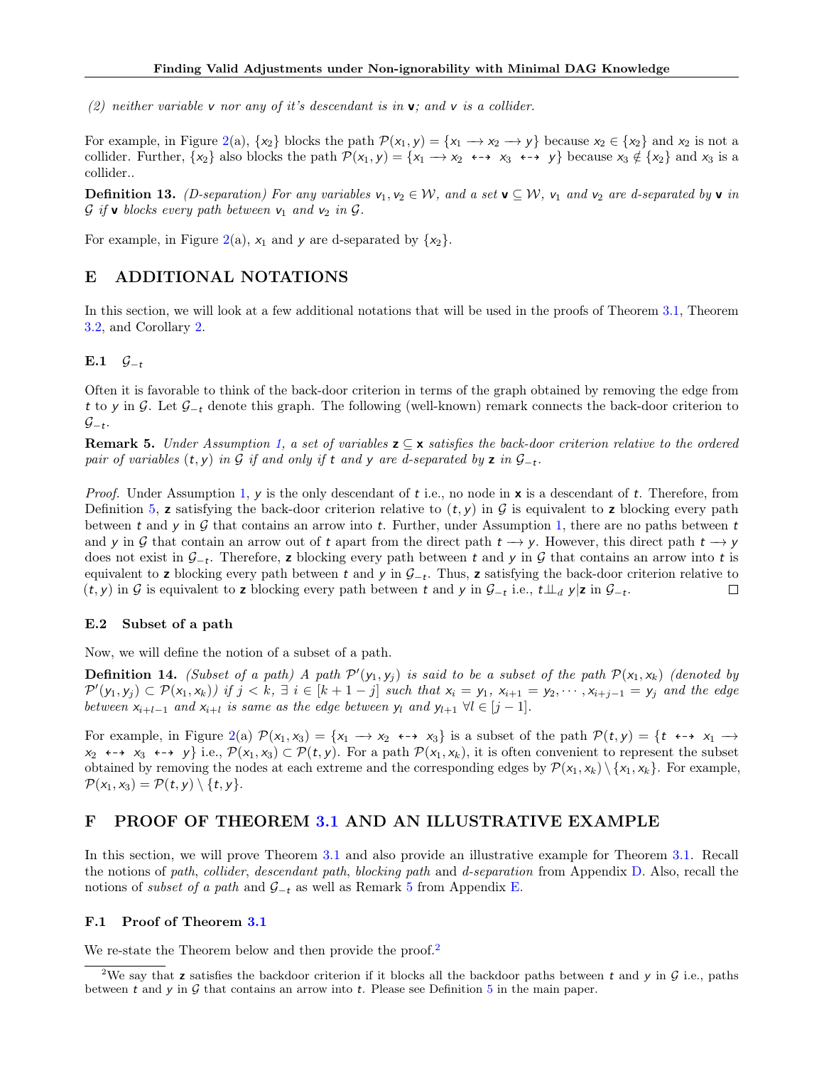(2) neither variable v nor any of it's descendant is in  $v$ ; and v is a collider.

For example, in Figure [2\(](#page-4-0)a),  $\{x_2\}$  blocks the path  $\mathcal{P}(x_1, y) = \{x_1 \rightarrow x_2 \rightarrow y\}$  because  $x_2 \in \{x_2\}$  and  $x_2$  is not a collider. Further,  $\{x_2\}$  also blocks the path  $\mathcal{P}(x_1, y) = \{x_1 \rightarrow x_2 \leftrightarrow x_3 \leftrightarrow y\}$  because  $x_3 \notin \{x_2\}$  and  $x_3$  is a collider..

**Definition 13.** (D-separation) For any variables  $v_1, v_2 \in W$ , and a set  $\mathbf{v} \subseteq W$ ,  $v_1$  and  $v_2$  are d-separated by  $\mathbf{v}$  in  $\mathcal G$  if **v** blocks every path between  $v_1$  and  $v_2$  in  $\mathcal G$ .

For example, in Figure [2\(](#page-4-0)a),  $x_1$  and y are d-separated by  $\{x_2\}$ .

# <span id="page-13-1"></span>E ADDITIONAL NOTATIONS

In this section, we will look at a few additional notations that will be used in the proofs of Theorem [3.1,](#page-4-1) Theorem [3.2,](#page-4-2) and Corollary [2.](#page-18-0)

E.1  $\mathcal{G}_{-t}$ 

Often it is favorable to think of the back-door criterion in terms of the graph obtained by removing the edge from t to y in G. Let G<sup>−</sup><sup>t</sup> denote this graph. The following (well-known) remark connects the back-door criterion to  $\mathcal{G}_{-t}$ .

<span id="page-13-2"></span>**Remark 5.** Under Assumption [1,](#page-3-1) a set of variables  $z \subseteq x$  satisfies the back-door criterion relative to the ordered pair of variables  $(t, y)$  in G if and only if t and y are d-separated by z in  $\mathcal{G}_{-t}$ .

*Proof.* Under Assumption [1,](#page-3-1) y is the only descendant of t i.e., no node in  $x$  is a descendant of t. Therefore, from Definition [5,](#page-3-3) z satisfying the back-door criterion relative to  $(t, y)$  in  $\mathcal G$  is equivalent to z blocking every path between t and y in  $G$  that contains an arrow into t. Further, under Assumption [1,](#page-3-1) there are no paths between t and y in G that contain an arrow out of t apart from the direct path  $t \to y$ . However, this direct path  $t \to y$ does not exist in  $\mathcal{G}_{-t}$ . Therefore, z blocking every path between t and y in  $\mathcal G$  that contains an arrow into t is equivalent to z blocking every path between t and y in  $G_{-t}$ . Thus, z satisfying the back-door criterion relative to  $(t, y)$  in G is equivalent to z blocking every path between t and y in  $\mathcal{G}_{-t}$  i.e.,  $t \perp u \perp d y | z$  in  $\mathcal{G}_{-t}$ .  $\Box$ 

#### E.2 Subset of a path

Now, we will define the notion of a subset of a path.

**Definition 14.** (Subset of a path) A path  $\mathcal{P}'(y_1, y_j)$  is said to be a subset of the path  $\mathcal{P}(x_1, x_k)$  (denoted by  $\mathcal{P}'(y_1, y_j) \subset \mathcal{P}(x_1, x_k)$  if  $j < k$ ,  $\exists i \in [k+1-j]$  such that  $x_i = y_1, x_{i+1} = y_2, \cdots, x_{i+j-1} = y_j$  and the edge between  $x_{i+l-1}$  and  $x_{i+l}$  is same as the edge between  $y_l$  and  $y_{l+1} \ \forall l \in [j-1]$ .

For example, in Figure [2\(](#page-4-0)a)  $\mathcal{P}(x_1, x_3) = \{x_1 \rightarrow x_2 \leftrightarrow x_3\}$  is a subset of the path  $\mathcal{P}(t, y) = \{t \leftrightarrow x_1 \rightarrow x_2, x_3\}$  $x_2 \leftrightarrow x_3 \leftrightarrow y$  i.e.,  $\mathcal{P}(x_1, x_3) \subset \mathcal{P}(t, y)$ . For a path  $\mathcal{P}(x_1, x_k)$ , it is often convenient to represent the subset obtained by removing the nodes at each extreme and the corresponding edges by  $\mathcal{P}(x_1, x_k) \setminus \{x_1, x_k\}$ . For example,  $\mathcal{P}(x_1, x_3) = \mathcal{P}(t, y) \setminus \{t, y\}.$ 

# <span id="page-13-0"></span>F PROOF OF THEOREM [3.1](#page-4-1) AND AN ILLUSTRATIVE EXAMPLE

In this section, we will prove Theorem [3.1](#page-4-1) and also provide an illustrative example for Theorem [3.1.](#page-4-1) Recall the notions of path, collider, descendant path, blocking path and d-separation from Appendix [D.](#page-12-0) Also, recall the notions of *subset of a path* and  $G_{-t}$  as well as Remark [5](#page-13-2) from Appendix [E.](#page-13-1)

### F.1 Proof of Theorem [3.1](#page-4-1)

We re-state the Theorem below and then provide the proof.<sup>[2](#page-13-3)</sup>

<span id="page-13-3"></span><sup>&</sup>lt;sup>2</sup>We say that z satisfies the backdoor criterion if it blocks all the backdoor paths between t and y in  $G$  i.e., paths between t and y in  $\mathcal G$  that contains an arrow into t. Please see Definition [5](#page-3-3) in the main paper.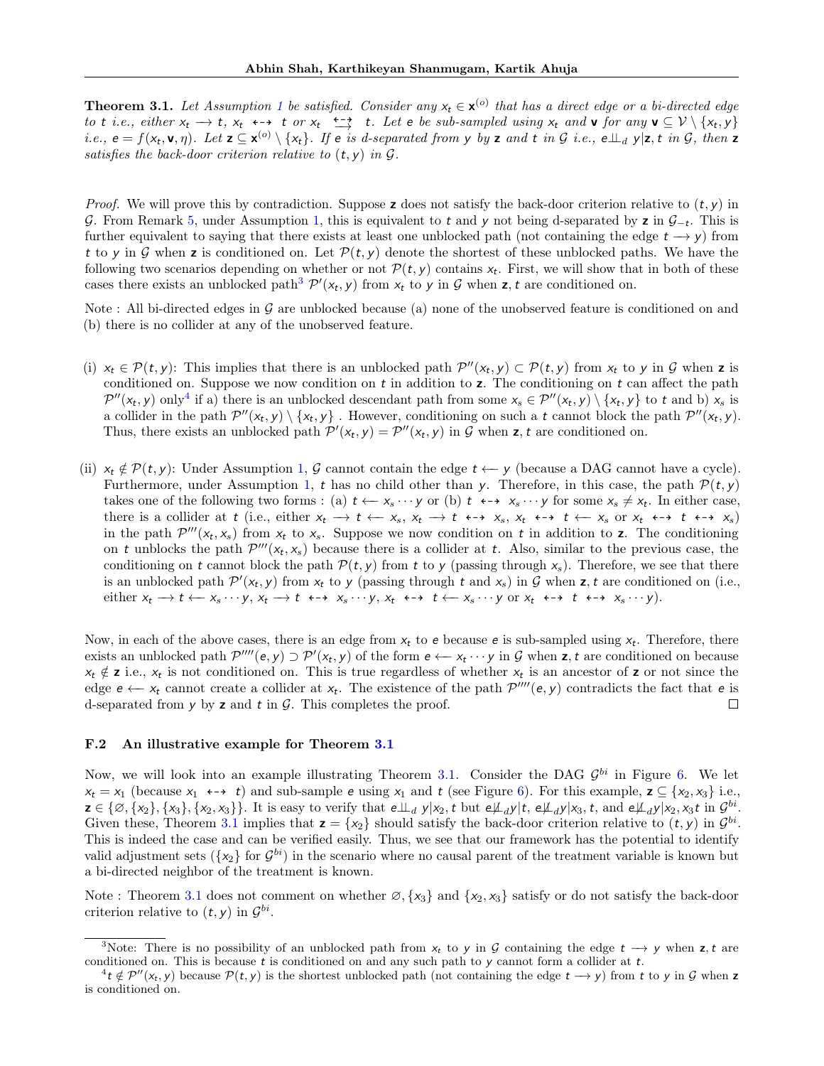**Theorem 3.[1](#page-3-1).** Let Assumption 1 be satisfied. Consider any  $x_t \in \mathbf{x}^{(o)}$  that has a direct edge or a bi-directed edge to t i.e., either  $x_t \rightarrow t$ ,  $x_t \leftrightarrow t$  or  $x_t \xrightarrow{t \rightarrow t} t$ . Let e be sub-sampled using  $x_t$  and v for any v  $\subseteq V \setminus \{x_t, y\}$ *i.e.*,  $e = f(x_t, \mathbf{v}, \eta)$ . Let  $\mathbf{z} \subseteq \mathbf{x}^{(o)} \setminus \{x_t\}$ . If e is d-separated from y by  $\mathbf{z}$  and  $t$  in  $\mathcal{G}$  i.e.,  $e \perp_d y | \mathbf{z}, t$  in  $\mathcal{G}$ , then  $\mathbf{z}$ satisfies the back-door criterion relative to  $(t, y)$  in  $G$ .

*Proof.* We will prove this by contradiction. Suppose z does not satisfy the back-door criterion relative to  $(t, y)$  in G. From Remark [5,](#page-13-2) under Assumption [1,](#page-3-1) this is equivalent to t and y not being d-separated by z in  $G_{-t}$ . This is further equivalent to saying that there exists at least one unblocked path (not containing the edge  $t \rightarrow y$ ) from t to y in G when z is conditioned on. Let  $\mathcal{P}(t, y)$  denote the shortest of these unblocked paths. We have the following two scenarios depending on whether or not  $\mathcal{P}(t, y)$  contains  $x_t$ . First, we will show that in both of these cases there exists an unblocked path<sup>[3](#page-14-1)</sup>  $\mathcal{P}'(x_t, y)$  from  $x_t$  to y in  $\mathcal G$  when **z**, t are conditioned on.

Note : All bi-directed edges in  $\mathcal G$  are unblocked because (a) none of the unobserved feature is conditioned on and (b) there is no collider at any of the unobserved feature.

- (i)  $x_t \in \mathcal{P}(t, y)$ : This implies that there is an unblocked path  $\mathcal{P}''(x_t, y) \subset \mathcal{P}(t, y)$  from  $x_t$  to y in G when z is conditioned on. Suppose we now condition on  $t$  in addition to  $z$ . The conditioning on  $t$  can affect the path  $\mathcal{P}''(x_t, y)$  only<sup>[4](#page-14-2)</sup> if a) there is an unblocked descendant path from some  $x_s \in \mathcal{P}''(x_t, y) \setminus \{x_t, y\}$  to t and b)  $x_s$  is a collider in the path  $\mathcal{P}''(x_t, y) \setminus \{x_t, y\}$ . However, conditioning on such a t cannot block the path  $\mathcal{P}''(x_t, y)$ . Thus, there exists an unblocked path  $\mathcal{P}'(x_t, y) = \mathcal{P}''(x_t, y)$  in G when z, t are conditioned on.
- (ii)  $x_t \notin \mathcal{P}(t, y)$ : Under Assumption [1,](#page-3-1) G cannot contain the edge  $t \leftarrow y$  (because a DAG cannot have a cycle). Furthermore, under Assumption [1,](#page-3-1) t has no child other than y. Therefore, in this case, the path  $\mathcal{P}(t, y)$ takes one of the following two forms : (a)  $t \leftarrow x_s \cdots y$  or (b)  $t \leftrightarrow x_s \cdots y$  for some  $x_s \neq x_t$ . In either case, there is a collider at t (i.e., either  $x_t \to t \leftarrow x_s$ ,  $x_t \to t \leftarrow x_s$ ,  $x_t \leftarrow t \leftarrow x_s$  or  $x_t \leftarrow t \leftarrow x_s$  or  $x_t \leftarrow t \leftarrow x_s$ ) in the path  $\mathcal{P}'''(x_t, x_s)$  from  $x_t$  to  $x_s$ . Suppose we now condition on t in addition to z. The conditioning on t unblocks the path  $\mathcal{P}'''(x_t, x_s)$  because there is a collider at t. Also, similar to the previous case, the conditioning on t cannot block the path  $\mathcal{P}(t, y)$  from t to y (passing through  $x_s$ ). Therefore, we see that there is an unblocked path  $\mathcal{P}'(x_t, y)$  from  $x_t$  to y (passing through t and  $x_s$ ) in G when z, t are conditioned on (i.e., either  $x_t \to t \leftarrow x_s \cdots y, x_t \to t \leftrightarrow x_s \cdots y, x_t \leftrightarrow t \leftarrow x_s \cdots y$  or  $x_t \leftrightarrow t \leftrightarrow x_s \cdots y$ ).

Now, in each of the above cases, there is an edge from  $x_t$  to e because e is sub-sampled using  $x_t$ . Therefore, there exists an unblocked path  $\mathcal{P}'''(e, y) \supset \mathcal{P}'(x_t, y)$  of the form  $e \leftarrow x_t \cdots y$  in G when z, t are conditioned on because  $x_t \notin \mathbf{z}$  i.e.,  $x_t$  is not conditioned on. This is true regardless of whether  $x_t$  is an ancestor of  $\mathbf{z}$  or not since the edge  $e \leftarrow x_t$  cannot create a collider at  $x_t$ . The existence of the path  $\mathcal{P}'''(e, y)$  contradicts the fact that  $e$  is d-separated from  $y$  by  $z$  and  $t$  in  $\mathcal{G}$ . This completes the proof.  $\Box$ 

#### <span id="page-14-0"></span>F.2 An illustrative example for Theorem [3.1](#page-4-1)

Now, we will look into an example illustrating Theorem [3.1.](#page-4-1) Consider the DAG  $\mathcal{G}^{bi}$  in Figure [6.](#page-15-1) We let  $x_t = x_1$  (because  $x_1 \leftrightarrow t$ ) and sub-sample e using  $x_1$  and t (see Figure [6\)](#page-15-1). For this example,  $z \subseteq \{x_2, x_3\}$  i.e.,  $\mathbf{z} \in \{\emptyset, \{x_2\}, \{x_3\}, \{x_2, x_3\}\}\.$  It is easy to verify that  $e \perp \perp_d y | x_2, t$  but  $e \not\perp_d y | t$ ,  $e \not\perp_d y | x_3, t$ , and  $e \not\perp_d y | x_2, x_3 t$  in  $\mathcal{G}^{bi}$ . Given these, Theorem [3.1](#page-4-1) implies that  $z = \{x_2\}$  should satisfy the back-door criterion relative to  $(t, y)$  in  $\mathcal{G}^{bi}$ . This is indeed the case and can be verified easily. Thus, we see that our framework has the potential to identify valid adjustment sets  $(\{x_2\}$  for  $G^{bi}$ ) in the scenario where no causal parent of the treatment variable is known but a bi-directed neighbor of the treatment is known.

Note : Theorem [3.1](#page-4-1) does not comment on whether  $\varnothing$ ,  $\{x_3\}$  and  $\{x_2, x_3\}$  satisfy or do not satisfy the back-door criterion relative to  $(t, y)$  in  $\mathcal{G}^{bi}$ .

<span id="page-14-1"></span><sup>&</sup>lt;sup>3</sup>Note: There is no possibility of an unblocked path from  $x_t$  to y in G containing the edge  $t \to y$  when z, t are conditioned on. This is because  $t$  is conditioned on and any such path to  $y$  cannot form a collider at  $t$ .

<span id="page-14-2"></span> $A^4t \notin \mathcal{P}''(x_t, y)$  because  $\mathcal{P}(t, y)$  is the shortest unblocked path (not containing the edge  $t \to y$ ) from t to y in G when z is conditioned on.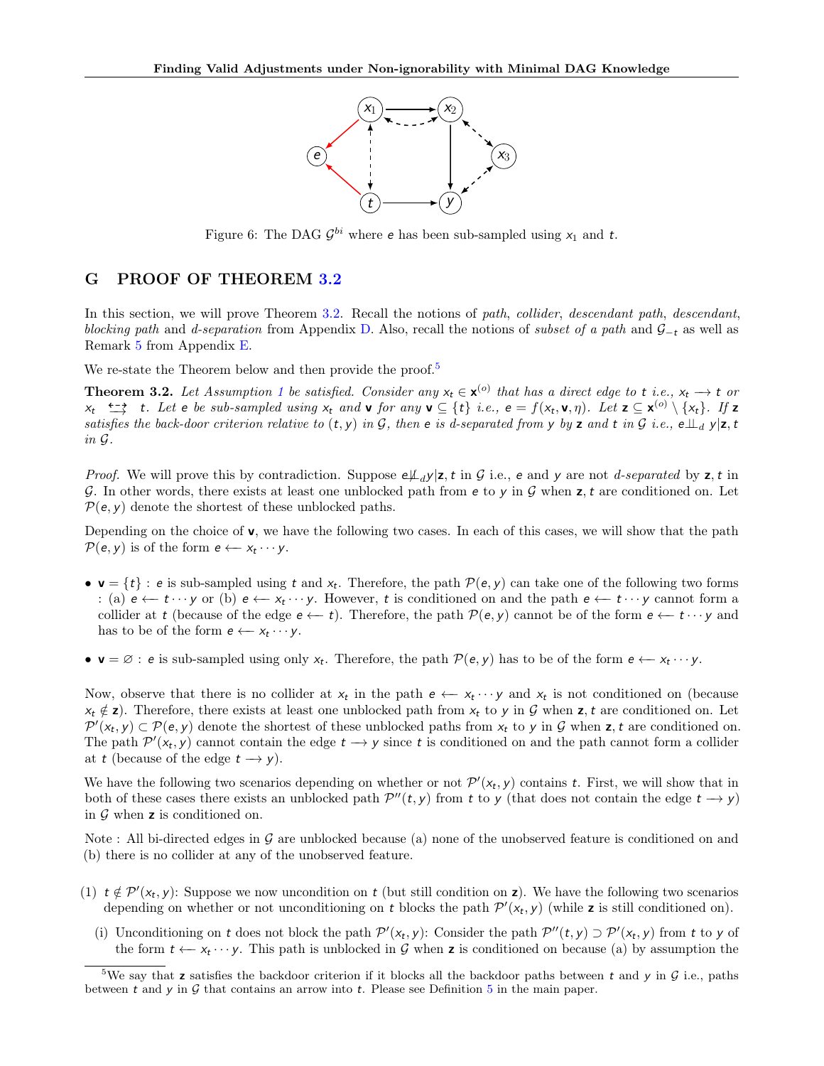

<span id="page-15-1"></span>Figure 6: The DAG  $\mathcal{G}^{bi}$  where **e** has been sub-sampled using  $x_1$  and  $t$ .

## <span id="page-15-0"></span>G PROOF OF THEOREM [3.2](#page-4-2)

In this section, we will prove Theorem [3.2.](#page-4-2) Recall the notions of path, collider, descendant path, descendant, blocking path and d-separation from Appendix [D.](#page-12-0) Also, recall the notions of subset of a path and  $\mathcal{G}_-$ t as well as Remark [5](#page-13-2) from Appendix [E.](#page-13-1)

We re-state the Theorem below and then provide the proof.<sup>[5](#page-15-2)</sup>

**Theorem 3.2.** Let Assumption [1](#page-3-1) be satisfied. Consider any  $x_t \in \mathbf{x}^{(o)}$  that has a direct edge to t i.e.,  $x_t \to t$  or  $x_t \xrightarrow{\epsilon \rightarrow} t$ . Let e be sub-sampled using  $x_t$  and v for any v  $\subseteq \{t\}$  i.e.,  $e = f(x_t, v, \eta)$ . Let  $z \subseteq x^{(0)} \setminus \{x_t\}$ . If  $z$ satisfies the back-door criterion relative to  $(t, y)$  in G, then e is d-separated from y by z and t in G i.e.,  $e \perp_d y |z, t$ in G.

*Proof.* We will prove this by contradiction. Suppose  $e\mu_d y|z$ , t in G i.e., e and y are not d-separated by z, t in G. In other words, there exists at least one unblocked path from  $e$  to y in  $\mathcal G$  when  $z$ , t are conditioned on. Let  $P(e, y)$  denote the shortest of these unblocked paths.

Depending on the choice of  $\mathbf{v}$ , we have the following two cases. In each of this cases, we will show that the path  $\mathcal{P}(e, y)$  is of the form  $e \leftarrow x_t \cdots y$ .

- $v = \{t\}$ : e is sub-sampled using t and  $x_t$ . Therefore, the path  $\mathcal{P}(e, y)$  can take one of the following two forms : (a)  $e \leftarrow t \cdots y$  or (b)  $e \leftarrow x_t \cdots y$ . However, t is conditioned on and the path  $e \leftarrow t \cdots y$  cannot form a collider at t (because of the edge  $e \leftarrow t$ ). Therefore, the path  $\mathcal{P}(e, y)$  cannot be of the form  $e \leftarrow t \cdots y$  and has to be of the form  $e \leftarrow x_t \cdots y$ .
- $\mathbf{v} = \emptyset$ : e is sub-sampled using only  $x_t$ . Therefore, the path  $\mathcal{P}(e, y)$  has to be of the form  $e \leftarrow x_t \cdots y$ .

Now, observe that there is no collider at  $x_t$  in the path  $e \leftarrow x_t \cdots y$  and  $x_t$  is not conditioned on (because  $x_t \notin \mathbf{z}$ . Therefore, there exists at least one unblocked path from  $x_t$  to y in G when  $\mathbf{z}$ , t are conditioned on. Let  $\mathcal{P}'(x_t, y) \subset \mathcal{P}(e, y)$  denote the shortest of these unblocked paths from  $x_t$  to y in G when z, t are conditioned on. The path  $\mathcal{P}'(x_t, y)$  cannot contain the edge  $t \to y$  since t is conditioned on and the path cannot form a collider at t (because of the edge  $t \rightarrow y$ ).

We have the following two scenarios depending on whether or not  $\mathcal{P}'(x_t, y)$  contains t. First, we will show that in both of these cases there exists an unblocked path  $\mathcal{P}''(t, y)$  from t to y (that does not contain the edge  $t \to y$ ) in  $G$  when z is conditioned on.

Note : All bi-directed edges in G are unblocked because (a) none of the unobserved feature is conditioned on and (b) there is no collider at any of the unobserved feature.

- (1)  $t \notin \mathcal{P}'(x_t, y)$ : Suppose we now uncondition on t (but still condition on z). We have the following two scenarios depending on whether or not unconditioning on t blocks the path  $\mathcal{P}'(x_t, y)$  (while z is still conditioned on).
	- (i) Unconditioning on t does not block the path  $\mathcal{P}'(x_t, y)$ : Consider the path  $\mathcal{P}''(t, y) \supset \mathcal{P}'(x_t, y)$  from t to y of the form  $t \leftarrow x_t \cdots y$ . This path is unblocked in G when **z** is conditioned on because (a) by assumption the

<span id="page-15-2"></span><sup>&</sup>lt;sup>5</sup>We say that z satisfies the backdoor criterion if it blocks all the backdoor paths between t and y in  $G$  i.e., paths between t and y in  $\mathcal G$  that contains an arrow into t. Please see Definition [5](#page-3-3) in the main paper.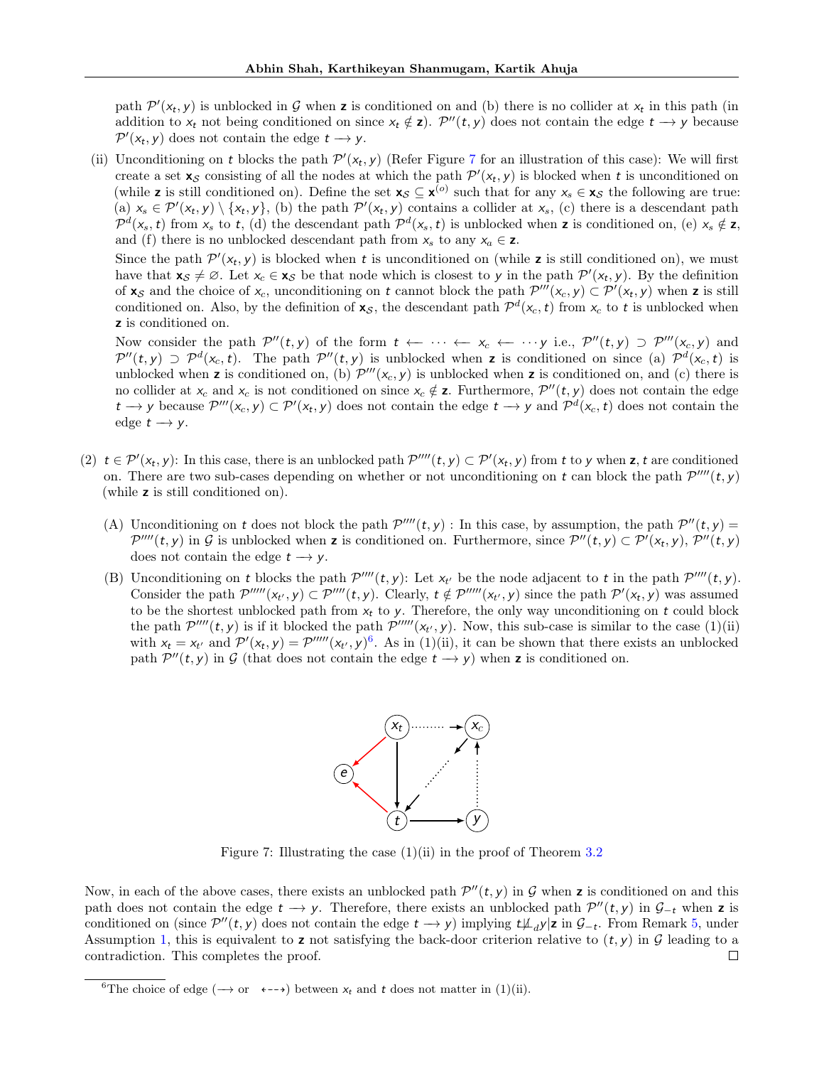path  $\mathcal{P}'(x_t, y)$  is unblocked in G when z is conditioned on and (b) there is no collider at  $x_t$  in this path (in addition to  $x_t$  not being conditioned on since  $x_t \notin \mathbf{z}$ ).  $\mathcal{P}''(t, y)$  does not contain the edge  $t \to y$  because  $\mathcal{P}'(x_t, y)$  does not contain the edge  $t \to y$ .

(ii) Unconditioning on t blocks the path  $\mathcal{P}'(x_t, y)$  (Refer Figure [7](#page-16-0) for an illustration of this case): We will first create a set  $\mathbf{x}_{\mathcal{S}}$  consisting of all the nodes at which the path  $\mathcal{P}'(\mathbf{x}_t, \mathbf{y})$  is blocked when t is unconditioned on (while z is still conditioned on). Define the set  $\mathbf{x}_{\mathcal{S}} \subseteq \mathbf{x}^{(o)}$  such that for any  $x_s \in \mathbf{x}_{\mathcal{S}}$  the following are true:  $(a)$   $x_s \in \mathcal{P}'(x_t, y) \setminus \{x_t, y\}$ , (b) the path  $\mathcal{P}'(x_t, y)$  contains a collider at  $x_s$ , (c) there is a descendant path  $\mathcal{P}^d(x_s,t)$  from  $x_s$  to t, (d) the descendant path  $\mathcal{P}^d(x_s,t)$  is unblocked when **z** is conditioned on, (e)  $x_s \notin \mathbf{z}$ , and (f) there is no unblocked descendant path from  $x_s$  to any  $x_a \in \mathbf{z}$ .

Since the path  $\mathcal{P}'(x_t, y)$  is blocked when t is unconditioned on (while z is still conditioned on), we must have that  $\mathbf{x}_{\mathcal{S}} \neq \emptyset$ . Let  $x_c \in \mathbf{x}_{\mathcal{S}}$  be that node which is closest to y in the path  $\mathcal{P}'(x_t, y)$ . By the definition of  $\mathbf{x}_{\mathcal{S}}$  and the choice of  $x_c$ , unconditioning on t cannot block the path  $\mathcal{P}'''(\mathbf{x}_c, \mathbf{y}) \subset \mathcal{P}'(\mathbf{x}_t, \mathbf{y})$  when z is still conditioned on. Also, by the definition of  $\mathbf{x}_{\mathcal{S}}$ , the descendant path  $\mathcal{P}^d(\mathbf{x}_c, t)$  from  $\mathbf{x}_c$  to t is unblocked when z is conditioned on.

Now consider the path  $\mathcal{P}''(t, y)$  of the form  $t \leftarrow \cdots \leftarrow x_c \leftarrow \cdots y$  i.e.,  $\mathcal{P}''(t, y) \supset \mathcal{P}'''(x_c, y)$  and  $\mathcal{P}''(t,y) \supset \mathcal{P}^{d}(x_c,t)$ . The path  $\mathcal{P}''(t,y)$  is unblocked when z is conditioned on since (a)  $\mathcal{P}^{d}(x_c,t)$  is unblocked when z is conditioned on, (b)  $\mathcal{P}'''(x_c, y)$  is unblocked when z is conditioned on, and (c) there is no collider at  $x_c$  and  $x_c$  is not conditioned on since  $x_c \notin \mathbf{z}$ . Furthermore,  $\mathcal{P}''(t, y)$  does not contain the edge  $t \to y$  because  $\mathcal{P}'''(x_c, y) \subset \mathcal{P}'(x_t, y)$  does not contain the edge  $t \to y$  and  $\mathcal{P}^{d}(x_c, t)$  does not contain the edge  $t \rightarrow y$ .

- (2)  $t \in \mathcal{P}'(x_t, y)$ : In this case, there is an unblocked path  $\mathcal{P}'''(t, y) \subset \mathcal{P}'(x_t, y)$  from t to y when z, t are conditioned on. There are two sub-cases depending on whether or not unconditioning on t can block the path  $\mathcal{P}'''(t, y)$ (while z is still conditioned on).
	- (A) Unconditioning on t does not block the path  $\mathcal{P}'''(t, y)$ : In this case, by assumption, the path  $\mathcal{P}''(t, y)$  =  $\mathcal{P}''''(t,y)$  in G is unblocked when **z** is conditioned on. Furthermore, since  $\mathcal{P}''(t,y) \subset \mathcal{P}'(x_t,y)$ ,  $\mathcal{P}''(t,y)$ does not contain the edge  $t \rightarrow y$ .
	- (B) Unconditioning on t blocks the path  $\mathcal{P}'''(t, y)$ : Let  $x_{t'}$  be the node adjacent to t in the path  $\mathcal{P}'''(t, y)$ . Consider the path  $\mathcal{P}''''(x_{t'}, y) \subset \mathcal{P}'''(t, y)$ . Clearly,  $t \notin \mathcal{P}''''(x_{t'}, y)$  since the path  $\mathcal{P}'(x_t, y)$  was assumed to be the shortest unblocked path from  $x_t$  to y. Therefore, the only way unconditioning on t could block the path  $\mathcal{P}'''(t, y)$  is if it blocked the path  $\mathcal{P}'''''(x_{t'}, y)$ . Now, this sub-case is similar to the case (1)(ii) with  $x_t = x_{t'}$  and  $\mathcal{P}'(x_t, y) = \mathcal{P}''''(x_{t'}, y)^6$  $\mathcal{P}'(x_t, y) = \mathcal{P}''''(x_{t'}, y)^6$ . As in (1)(ii), it can be shown that there exists an unblocked path  $\mathcal{P}''(t, y)$  in G (that does not contain the edge  $t \to y$ ) when z is conditioned on.



Figure 7: Illustrating the case  $(1)(ii)$  in the proof of Theorem [3.2](#page-4-2)

<span id="page-16-0"></span>Now, in each of the above cases, there exists an unblocked path  $\mathcal{P}''(t, y)$  in G when z is conditioned on and this path does not contain the edge  $t \to y$ . Therefore, there exists an unblocked path  $\mathcal{P}''(t, y)$  in  $\mathcal{G}_{-t}$  when z is conditioned on (since  $\mathcal{P}''(t, y)$  does not contain the edge  $t \to y$ ) implying  $t\mathcal{L}_d y$ |z in  $\mathcal{G}_{-t}$ . From Remark [5,](#page-13-2) under Assumption [1,](#page-3-1) this is equivalent to **z** not satisfying the back-door criterion relative to  $(t, y)$  in  $\mathcal G$  leading to a contradiction. This completes the proof. contradiction. This completes the proof.

<span id="page-16-1"></span><sup>&</sup>lt;sup>6</sup>The choice of edge ( $\rightarrow$  or  $\leftarrow$ - $\rightarrow$ ) between  $x_t$  and t does not matter in (1)(ii).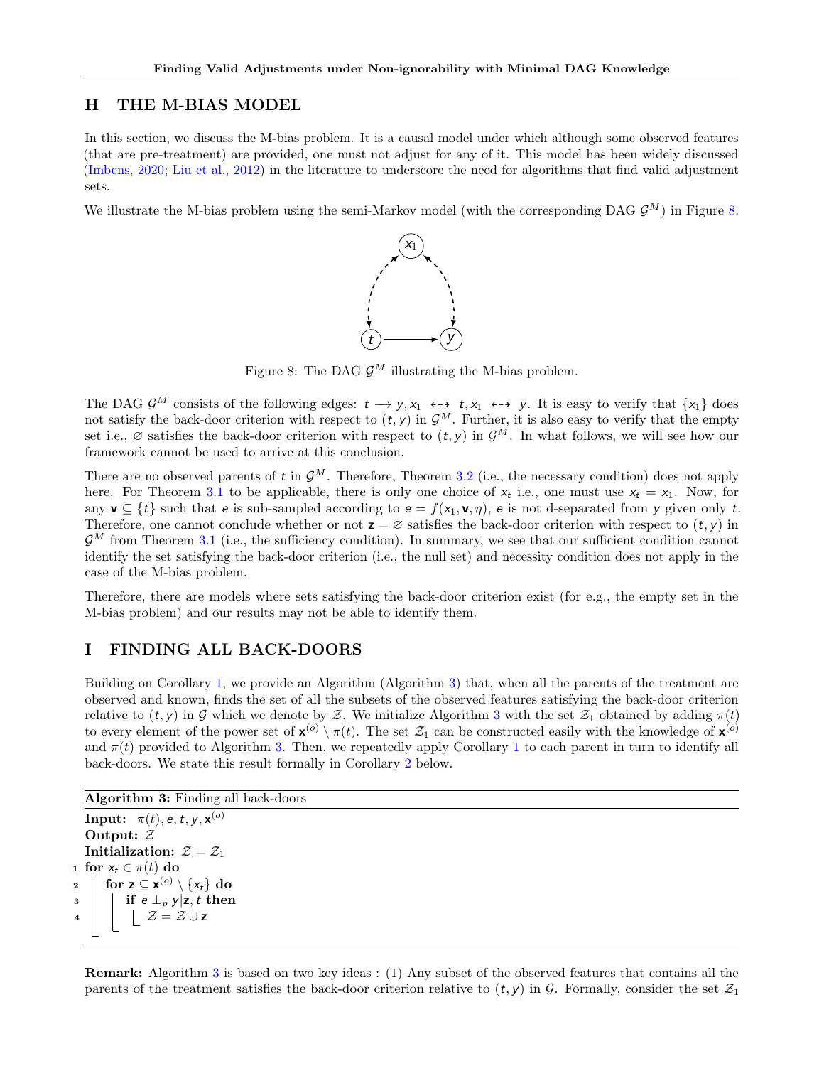# <span id="page-17-1"></span>H THE M-BIAS MODEL

In this section, we discuss the M-bias problem. It is a causal model under which although some observed features (that are pre-treatment) are provided, one must not adjust for any of it. This model has been widely discussed [\(Imbens,](#page-9-14) [2020;](#page-9-14) [Liu et al.,](#page-9-13) [2012\)](#page-9-13) in the literature to underscore the need for algorithms that find valid adjustment sets.

<span id="page-17-3"></span>We illustrate the M-bias problem using the semi-Markov model (with the corresponding DAG  $\mathcal{G}^M$ ) in Figure [8.](#page-17-3)



Figure 8: The DAG  $\mathcal{G}^M$  illustrating the M-bias problem.

The DAG  $\mathcal{G}^M$  consists of the following edges:  $t \to y, x_1 \leftrightarrow t, x_1 \leftrightarrow y$ . It is easy to verify that  $\{x_1\}$  does not satisfy the back-door criterion with respect to  $(t, y)$  in  $\mathcal{G}^M$ . Further, it is also easy to verify that the empty set i.e.,  $\varnothing$  satisfies the back-door criterion with respect to  $(t, y)$  in  $\mathcal{G}^M$ . In what follows, we will see how our framework cannot be used to arrive at this conclusion.

There are no observed parents of t in  $\mathcal{G}^M$ . Therefore, Theorem [3.2](#page-4-2) (i.e., the necessary condition) does not apply here. For Theorem [3.1](#page-4-1) to be applicable, there is only one choice of  $x_t$  i.e., one must use  $x_t = x_1$ . Now, for any  $\mathbf{v} \subseteq \{t\}$  such that e is sub-sampled according to  $\mathbf{e} = f(x_1, \mathbf{v}, \eta)$ , e is not d-separated from y given only t. Therefore, one cannot conclude whether or not  $z = \emptyset$  satisfies the back-door criterion with respect to  $(t, y)$  in  $\mathcal{G}^M$  from Theorem [3.1](#page-4-1) (i.e., the sufficiency condition). In summary, we see that our sufficient condition cannot identify the set satisfying the back-door criterion (i.e., the null set) and necessity condition does not apply in the case of the M-bias problem.

Therefore, there are models where sets satisfying the back-door criterion exist (for e.g., the empty set in the M-bias problem) and our results may not be able to identify them.

# <span id="page-17-0"></span>I FINDING ALL BACK-DOORS

Building on Corollary [1,](#page-5-0) we provide an Algorithm (Algorithm [3\)](#page-17-2) that, when all the parents of the treatment are observed and known, finds the set of all the subsets of the observed features satisfying the back-door criterion relative to  $(t, y)$  in G which we denote by Z. We initialize Algorithm [3](#page-17-2) with the set  $\mathcal{Z}_1$  obtained by adding  $\pi(t)$ to every element of the power set of  $\mathbf{x}^{(o)} \setminus \pi(t)$ . The set  $\mathcal{Z}_1$  can be constructed easily with the knowledge of  $\mathbf{x}^{(o)}$ and  $\pi(t)$  provided to Algorithm [3.](#page-17-2) Then, we repeatedly apply Corollary [1](#page-5-0) to each parent in turn to identify all back-doors. We state this result formally in Corollary [2](#page-18-0) below.

```
Algorithm 3: Finding all back-doors
```

```
\textbf{Input:} \;\;\pi(t), \textup{e}, \textup{t}, \textup{y}, \textup{x}^{(o)}Output: Z
    Initialization: \mathcal{Z} = \mathcal{Z}_11 for x_t \in \pi(t) do
2 \Big| for z \subseteq x^{(o)} \setminus \{x_t\} do
\begin{array}{c|c|c|c} \text{s} & \text{if } e \perp_p y & z, t \text{ then} \end{array}\angle \mathcal{Z} = \mathcal{Z} \cup \mathbf{z}
```
<span id="page-17-2"></span>Remark: Algorithm [3](#page-17-2) is based on two key ideas : (1) Any subset of the observed features that contains all the parents of the treatment satisfies the back-door criterion relative to  $(t, y)$  in G. Formally, consider the set  $\mathcal{Z}_1$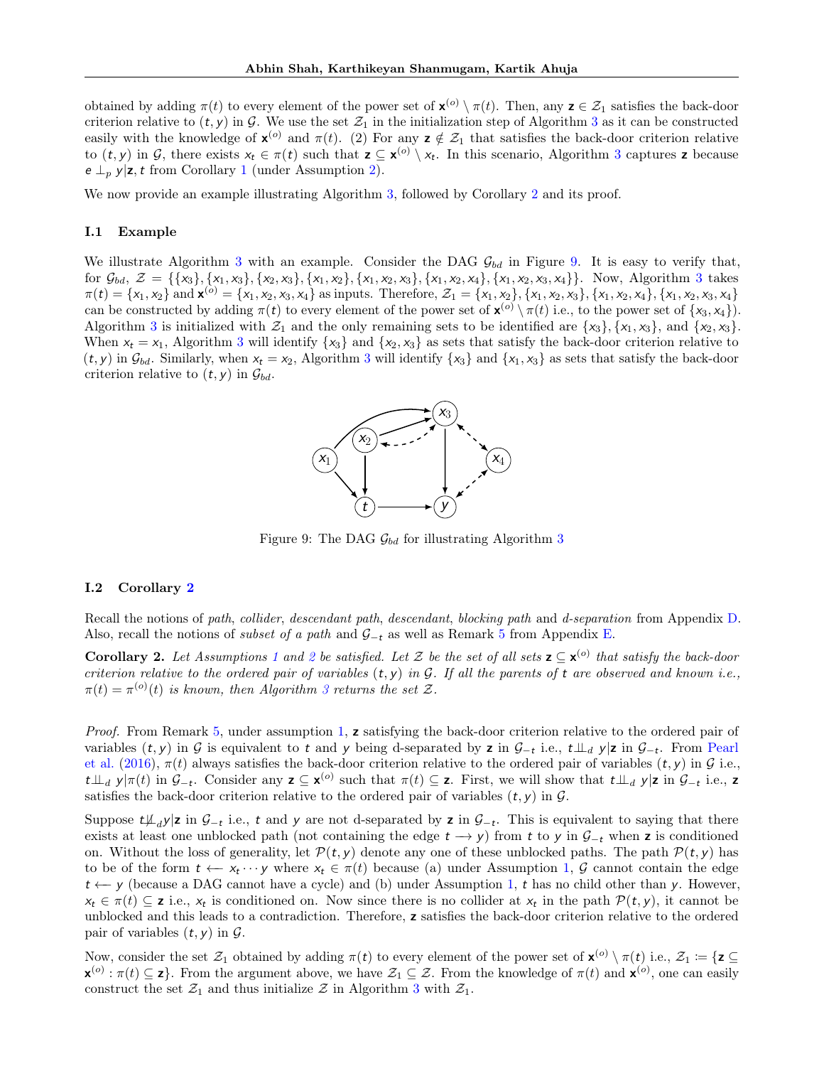obtained by adding  $\pi(t)$  to every element of the power set of  $\mathbf{x}^{(o)} \setminus \pi(t)$ . Then, any  $\mathbf{z} \in \mathcal{Z}_1$  satisfies the back-door criterion relative to  $(t, y)$  in G. We use the set  $\mathcal{Z}_1$  in the initialization step of Algorithm [3](#page-17-2) as it can be constructed easily with the knowledge of  $\mathbf{x}^{(o)}$  and  $\pi(t)$ . (2) For any  $\mathbf{z} \notin \mathcal{Z}_1$  that satisfies the back-door criterion relative to  $(t, y)$  in G, there exists  $x_t \in \pi(t)$  such that  $z \subseteq x^{(0)} \setminus x_t$ . In this scenario, Algorithm [3](#page-17-2) captures z because  $e \perp_p y | z, t$  from Corollary [1](#page-5-0) (under Assumption [2\)](#page-4-3).

We now provide an example illustrating Algorithm [3,](#page-17-2) followed by Corollary [2](#page-18-0) and its proof.

#### I.1 Example

<span id="page-18-1"></span>We illustrate Algorithm [3](#page-17-2) with an example. Consider the DAG  $\mathcal{G}_{bd}$  in Figure [9.](#page-18-1) It is easy to verify that, for  $\mathcal{G}_{bd}$ ,  $\mathcal{Z} = \{\{x_3\}, \{x_1, x_3\}, \{x_2, x_3\}, \{x_1, x_2\}, \{x_1, x_2, x_3\}, \{x_1, x_2, x_4\}, \{x_1, x_2, x_3, x_4\}\}\.$  $\mathcal{Z} = \{\{x_3\}, \{x_1, x_3\}, \{x_2, x_3\}, \{x_1, x_2\}, \{x_1, x_2, x_3\}, \{x_1, x_2, x_4\}, \{x_1, x_2, x_3, x_4\}\}\.$  $\mathcal{Z} = \{\{x_3\}, \{x_1, x_3\}, \{x_2, x_3\}, \{x_1, x_2\}, \{x_1, x_2, x_3\}, \{x_1, x_2, x_4\}, \{x_1, x_2, x_3, x_4\}\}\.$  Now, Algorithm 3 takes  $\pi(t) = \{x_1, x_2\}$  and  $\mathbf{x}^{(c)} = \{x_1, x_2, x_3, x_4\}$  as inputs. Therefore,  $\mathcal{Z}_1 = \{x_1, x_2\}$ ,  $\{x_1, x_2, x_3\}$ ,  $\{x_1, x_2, x_4\}$ ,  $\{x_1, x_2, x_3, x_4\}$ can be constructed by adding  $\pi(t)$  to every element of the power set of  $\mathbf{x}^{(o)} \setminus \pi(t)$  i.e., to the power set of  $\{x_3, x_4\}$ . Algorithm [3](#page-17-2) is initialized with  $\mathcal{Z}_1$  and the only remaining sets to be identified are  $\{x_3\}$ ,  $\{x_1, x_3\}$ , and  $\{x_2, x_3\}$ . When  $x_t = x_1$ , Algorithm [3](#page-17-2) will identify  $\{x_3\}$  and  $\{x_2, x_3\}$  as sets that satisfy the back-door criterion relative to  $(t, y)$  in  $\mathcal{G}_{bd}$ . Similarly, when  $x_t = x_2$ , Algorithm [3](#page-17-2) will identify  $\{x_3\}$  and  $\{x_1, x_3\}$  as sets that satisfy the back-door criterion relative to  $(t, y)$  in  $\mathcal{G}_{bd}$ .



Figure 9: The DAG  $\mathcal{G}_{bd}$  for illustrating Algorithm [3](#page-17-2)

#### I.2 Corollary [2](#page-18-0)

Recall the notions of path, collider, descendant path, descendant, blocking path and d-separation from Appendix [D.](#page-12-0) Also, recall the notions of *subset of a path* and  $\mathcal{G}_{-t}$  as well as Remark [5](#page-13-2) from Appendix [E.](#page-13-1)

<span id="page-18-0"></span>**Corollary [2](#page-4-3).** Let Assumptions [1](#page-3-1) and 2 be satisfied. Let Z be the set of all sets  $z \subseteq x^{(o)}$  that satisfy the back-door criterion relative to the ordered pair of variables  $(t, y)$  in G. If all the parents of t are observed and known i.e.,  $\pi(t) = \pi^{(o)}(t)$  is known, then Algorithm [3](#page-17-2) returns the set  $\mathcal{Z}$ .

Proof. From Remark [5,](#page-13-2) under assumption [1,](#page-3-1) z satisfying the back-door criterion relative to the ordered pair of variables  $(t, y)$  in G is equivalent to t and y being d-separated by z in  $\mathcal{G}_{-t}$  i.e.,  $t \perp d$  y|z in  $\mathcal{G}_{-t}$ . From [Pearl](#page-10-14) [et al.](#page-10-14) [\(2016\)](#page-10-14),  $\pi(t)$  always satisfies the back-door criterion relative to the ordered pair of variables  $(t, y)$  in G i.e.,  $t\perp\perp_d y|\pi(t)$  in  $\mathcal{G}_{-t}$ . Consider any  $z \subseteq x^{(o)}$  such that  $\pi(t) \subseteq z$ . First, we will show that  $t\perp\perp_d y|z$  in  $\mathcal{G}_{-t}$  i.e., z satisfies the back-door criterion relative to the ordered pair of variables  $(t, y)$  in  $\mathcal{G}$ .

Suppose  $t\mu_d y|z$  in  $\mathcal{G}_{-t}$  i.e., t and y are not d-separated by z in  $\mathcal{G}_{-t}$ . This is equivalent to saying that there exists at least one unblocked path (not containing the edge  $t \to y$ ) from t to y in  $\mathcal{G}_{-t}$  when z is conditioned on. Without the loss of generality, let  $\mathcal{P}(t, y)$  denote any one of these unblocked paths. The path  $\mathcal{P}(t, y)$  has to be of the form  $t \leftarrow x_t \cdots y$  where  $x_t \in \pi(t)$  because (a) under Assumption [1,](#page-3-1) G cannot contain the edge t ← y (because a DAG cannot have a cycle) and (b) under Assumption [1,](#page-3-1) t has no child other than y. However,  $x_t \in \pi(t) \subseteq \mathbf{z}$  i.e.,  $x_t$  is conditioned on. Now since there is no collider at  $x_t$  in the path  $\mathcal{P}(t, y)$ , it cannot be unblocked and this leads to a contradiction. Therefore, z satisfies the back-door criterion relative to the ordered pair of variables  $(t, y)$  in  $\mathcal{G}$ .

Now, consider the set  $\mathcal{Z}_1$  obtained by adding  $\pi(t)$  to every element of the power set of  $\mathbf{x}^{(o)} \setminus \pi(t)$  i.e.,  $\mathcal{Z}_1 := \{ \mathbf{z} \subseteq \mathbf{x} \}$  $\mathbf{x}^{(o)} : \pi(t) \subseteq \mathbf{z}$ . From the argument above, we have  $\mathcal{Z}_1 \subseteq \mathcal{Z}$ . From the knowledge of  $\pi(t)$  and  $\mathbf{x}^{(o)}$ , one can easily construct the set  $\mathcal{Z}_1$  and thus initialize  $\mathcal Z$  in Algorithm [3](#page-17-2) with  $\mathcal{Z}_1$ .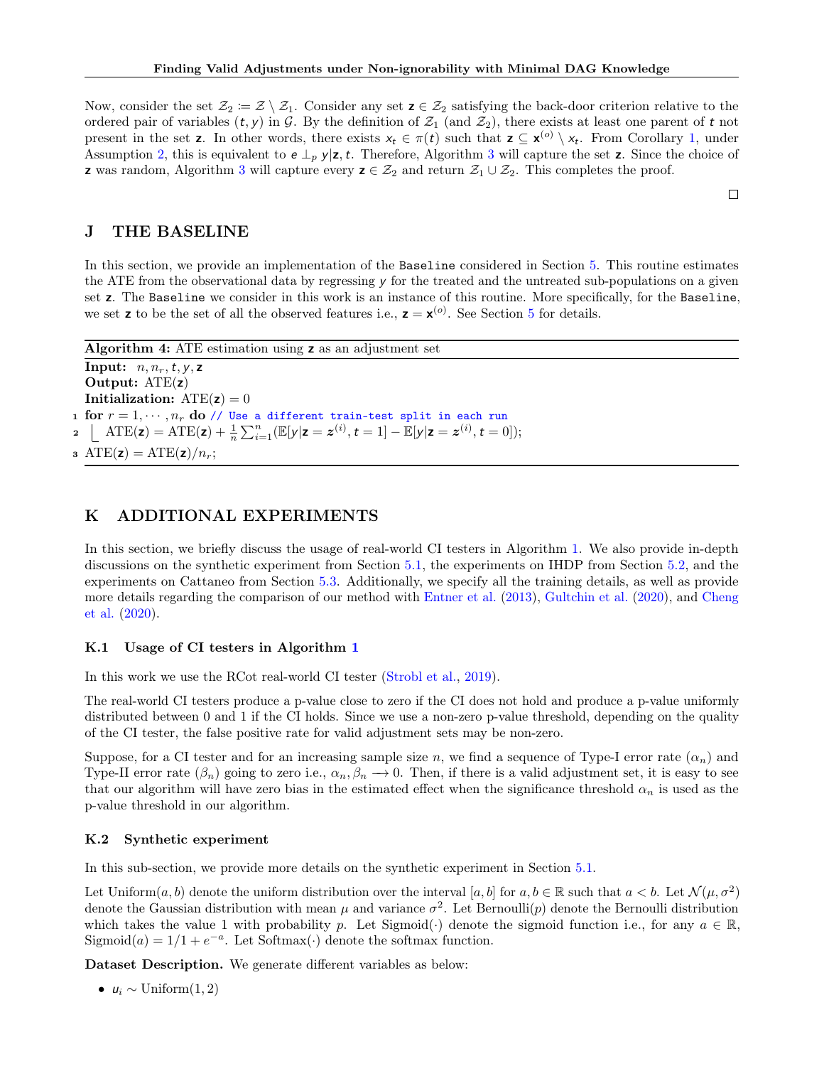Now, consider the set  $\mathcal{Z}_2 := \mathcal{Z} \setminus \mathcal{Z}_1$ . Consider any set  $z \in \mathcal{Z}_2$  satisfying the back-door criterion relative to the ordered pair of variables  $(t, y)$  in G. By the definition of  $\mathcal{Z}_1$  (and  $\mathcal{Z}_2$ ), there exists at least one parent of t not present in the set **z**. In other words, there exists  $x_t \in \pi(t)$  such that  $z \subseteq x^{(0)} \setminus x_t$ . From Corollary [1,](#page-5-0) under Assumption [2,](#page-4-3) this is equivalent to  $e \perp_p y | z, t$ . Therefore, Algorithm [3](#page-17-2) will capture the set z. Since the choice of **z** was random, Algorithm [3](#page-17-2) will capture every  $z \in \mathcal{Z}_2$  and return  $\mathcal{Z}_1 \cup \mathcal{Z}_2$ . This completes the proof.

 $\Box$ 

# <span id="page-19-2"></span>J THE BASELINE

In this section, we provide an implementation of the Baseline considered in Section [5.](#page-6-2) This routine estimates the ATE from the observational data by regressing y for the treated and the untreated sub-populations on a given set z. The Baseline we consider in this work is an instance of this routine. More specifically, for the Baseline, we set **z** to be the set of all the observed features i.e.,  $z = x^{(o)}$ . See Section [5](#page-6-2) for details.

Algorithm 4: ATE estimation using z as an adjustment set Input:  $n, n_r, t, y, z$ Output: ATE(z) **Initialization:**  $ATE(z) = 0$ 1 for  $r = 1, \dots, n_r$  do // Use a different train-test split in each run **2**  $\left[ \text{ATE}(z) = \text{ATE}(z) + \frac{1}{n} \sum_{i=1}^{n} (\mathbb{E}[y|z=z^{(i)}, t=1] - \mathbb{E}[y|z=z^{(i)}, t=0]); \right]$ 3 ATE( $z$ ) = ATE( $z$ )/ $n_r$ ;

## <span id="page-19-1"></span>K ADDITIONAL EXPERIMENTS

In this section, we briefly discuss the usage of real-world CI testers in Algorithm [1.](#page-6-0) We also provide in-depth discussions on the synthetic experiment from Section [5.1,](#page-7-1) the experiments on IHDP from Section [5.2,](#page-7-2) and the experiments on Cattaneo from Section [5.3.](#page-8-3) Additionally, we specify all the training details, as well as provide more details regarding the comparison of our method with [Entner et al.](#page-9-8) [\(2013\)](#page-9-8), [Gultchin et al.](#page-9-10) [\(2020\)](#page-9-10), and [Cheng](#page-9-9) [et al.](#page-9-9) [\(2020\)](#page-9-9).

### <span id="page-19-0"></span>K.1 Usage of CI testers in Algorithm [1](#page-6-0)

In this work we use the RCot real-world CI tester [\(Strobl et al.,](#page-10-22) [2019\)](#page-10-22).

The real-world CI testers produce a p-value close to zero if the CI does not hold and produce a p-value uniformly distributed between 0 and 1 if the CI holds. Since we use a non-zero p-value threshold, depending on the quality of the CI tester, the false positive rate for valid adjustment sets may be non-zero.

Suppose, for a CI tester and for an increasing sample size n, we find a sequence of Type-I error rate  $(\alpha_n)$  and Type-II error rate  $(\beta_n)$  going to zero i.e.,  $\alpha_n, \beta_n \to 0$ . Then, if there is a valid adjustment set, it is easy to see that our algorithm will have zero bias in the estimated effect when the significance threshold  $\alpha_n$  is used as the p-value threshold in our algorithm.

#### <span id="page-19-3"></span>K.2 Synthetic experiment

In this sub-section, we provide more details on the synthetic experiment in Section [5.1.](#page-7-1)

Let Uniform $(a, b)$  denote the uniform distribution over the interval  $[a, b]$  for  $a, b \in \mathbb{R}$  such that  $a < b$ . Let  $\mathcal{N}(\mu, \sigma^2)$ denote the Gaussian distribution with mean  $\mu$  and variance  $\sigma^2$ . Let Bernoulli(p) denote the Bernoulli distribution which takes the value 1 with probability p. Let Sigmoid( $\cdot$ ) denote the sigmoid function i.e., for any  $a \in \mathbb{R}$ , Sigmoid $(a) = 1/1 + e^{-a}$ . Let Softmax $(\cdot)$  denote the softmax function.

Dataset Description. We generate different variables as below:

•  $u_i \sim \text{Uniform}(1, 2)$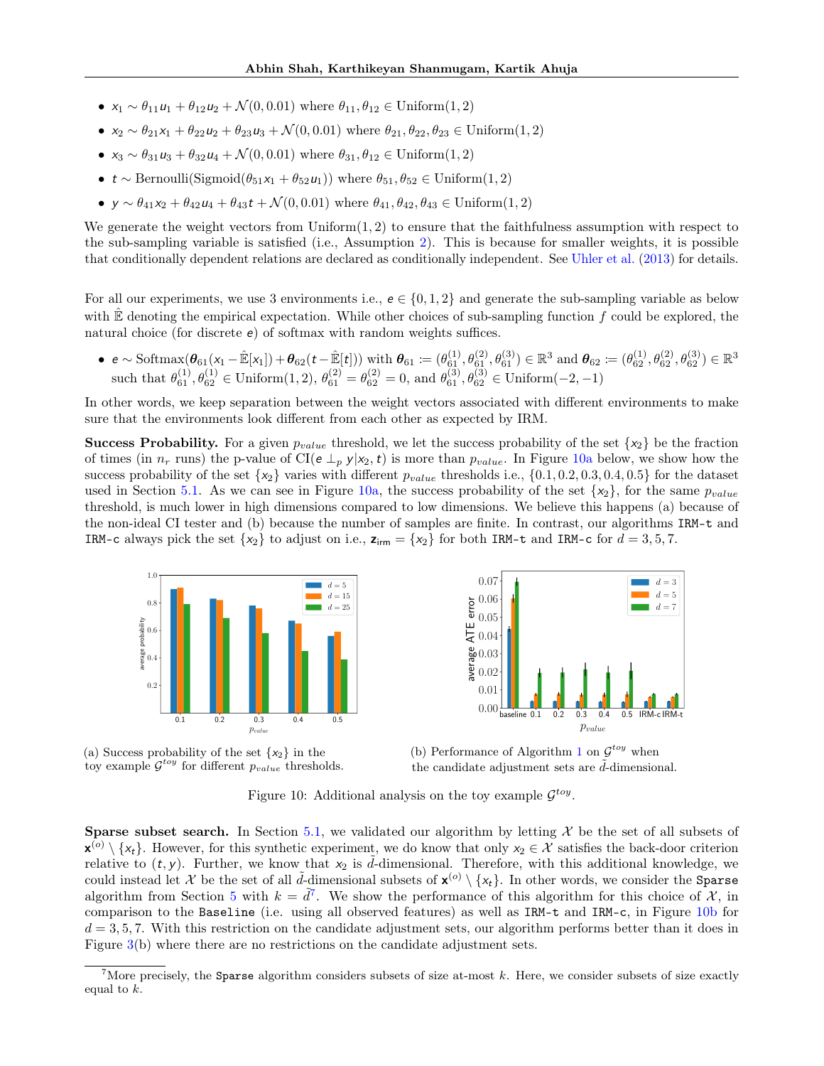- $x_1 \sim \theta_{11}u_1 + \theta_{12}u_2 + \mathcal{N}(0, 0.01)$  where  $\theta_{11}, \theta_{12} \in \text{Uniform}(1, 2)$
- $x_2 \sim \theta_{21}x_1 + \theta_{22}u_2 + \theta_{23}u_3 + \mathcal{N}(0, 0.01)$  where  $\theta_{21}, \theta_{22}, \theta_{23} \in \text{Uniform}(1, 2)$
- $x_3 \sim \theta_{31}u_3 + \theta_{32}u_4 + \mathcal{N}(0, 0.01)$  where  $\theta_{31}, \theta_{12} \in \text{Uniform}(1, 2)$
- $t \sim \text{Bernoulli}(\text{Sigmoid}(\theta_{51}x_1 + \theta_{52}u_1))$  where  $\theta_{51}, \theta_{52} \in \text{Uniform}(1, 2)$
- $y \sim \theta_{41}x_2 + \theta_{42}u_4 + \theta_{43}t + \mathcal{N}(0, 0.01)$  where  $\theta_{41}, \theta_{42}, \theta_{43} \in \text{Uniform}(1, 2)$

We generate the weight vectors from  $Uniform(1, 2)$  to ensure that the faithfulness assumption with respect to the sub-sampling variable is satisfied (i.e., Assumption [2\)](#page-4-3). This is because for smaller weights, it is possible that conditionally dependent relations are declared as conditionally independent. See [Uhler et al.](#page-10-23) [\(2013\)](#page-10-23) for details.

For all our experiments, we use 3 environments i.e.,  $e \in \{0, 1, 2\}$  and generate the sub-sampling variable as below with  $\mathbb E$  denoting the empirical expectation. While other choices of sub-sampling function f could be explored, the natural choice (for discrete  $e$ ) of softmax with random weights suffices.

•  $e \sim \text{Softmax}(\theta_{61}(x_1 - \hat{\mathbb{E}}[x_1]) + \theta_{62}(t - \hat{\mathbb{E}}[t]))$  with  $\theta_{61} \coloneqq (\theta_{61}^{(1)}, \theta_{61}^{(2)}, \theta_{61}^{(3)}) \in \mathbb{R}^3$  and  $\theta_{62} \coloneqq (\theta_{62}^{(1)}, \theta_{62}^{(2)}, \theta_{62}^{(3)}) \in \mathbb{R}^3$ such that  $\theta_{61}^{(1)}, \theta_{62}^{(1)} \in \text{Uniform}(1, 2), \theta_{61}^{(2)} = \theta_{62}^{(2)} = 0$ , and  $\theta_{61}^{(3)}, \theta_{62}^{(3)} \in \text{Uniform}(-2, -1)$ 

In other words, we keep separation between the weight vectors associated with different environments to make sure that the environments look different from each other as expected by IRM.

**Success Probability.** For a given  $p_{value}$  threshold, we let the success probability of the set  $\{x_2\}$  be the fraction of times (in  $n_r$  runs) the p-value of CI( $e \perp_p y | x_2, t$ ) is more than  $p_{value}$ . In Figure [10a](#page-20-0) below, we show how the success probability of the set  $\{x_2\}$  varies with different  $p_{value}$  thresholds i.e.,  $\{0.1, 0.2, 0.3, 0.4, 0.5\}$  for the dataset used in Section [5.1.](#page-7-1) As we can see in Figure [10a,](#page-20-0) the success probability of the set  $\{x_2\}$ , for the same  $p_{value}$ threshold, is much lower in high dimensions compared to low dimensions. We believe this happens (a) because of the non-ideal CI tester and (b) because the number of samples are finite. In contrast, our algorithms IRM-t and IRM-c always pick the set  $\{x_2\}$  to adjust on i.e.,  $z_{irm} = \{x_2\}$  for both IRM-t and IRM-c for  $d = 3, 5, 7$ .

<span id="page-20-0"></span>





(b) Performance of Algorithm [1](#page-6-0) on  $\mathcal{G}^{toy}$  when the candidate adjustment sets are  $d$ -dimensional.

Figure 10: Additional analysis on the toy example  $\mathcal{G}^{toy}$ .

**Sparse subset search.** In Section [5.1,](#page-7-1) we validated our algorithm by letting  $\mathcal X$  be the set of all subsets of  $\mathbf{x}^{(o)} \setminus \{x_t\}$ . However, for this synthetic experiment, we do know that only  $x_2 \in \mathcal{X}$  satisfies the back-door criterion relative to  $(t, y)$ . Further, we know that  $x_2$  is d-dimensional. Therefore, with this additional knowledge, we could instead let X be the set of all  $\tilde{d}$ -dimensional subsets of  $\mathbf{x}^{(o)} \setminus \{x_t\}$ . In other words, we consider the Sparse algorithm from Section [5](#page-6-2) with  $k = \tilde{d}^7$ . We show the performance of this algorithm for this choice of  $\mathcal{X}$ , in comparison to the Baseline (i.e. using all observed features) as well as IRM-t and IRM-c, in Figure [10b](#page-20-0) for  $d = 3, 5, 7$ . With this restriction on the candidate adjustment sets, our algorithm performs better than it does in Figure [3\(](#page-7-0)b) where there are no restrictions on the candidate adjustment sets.

<span id="page-20-1"></span><sup>&</sup>lt;sup>7</sup>More precisely, the Sparse algorithm considers subsets of size at-most  $k$ . Here, we consider subsets of size exactly equal to  $k$ .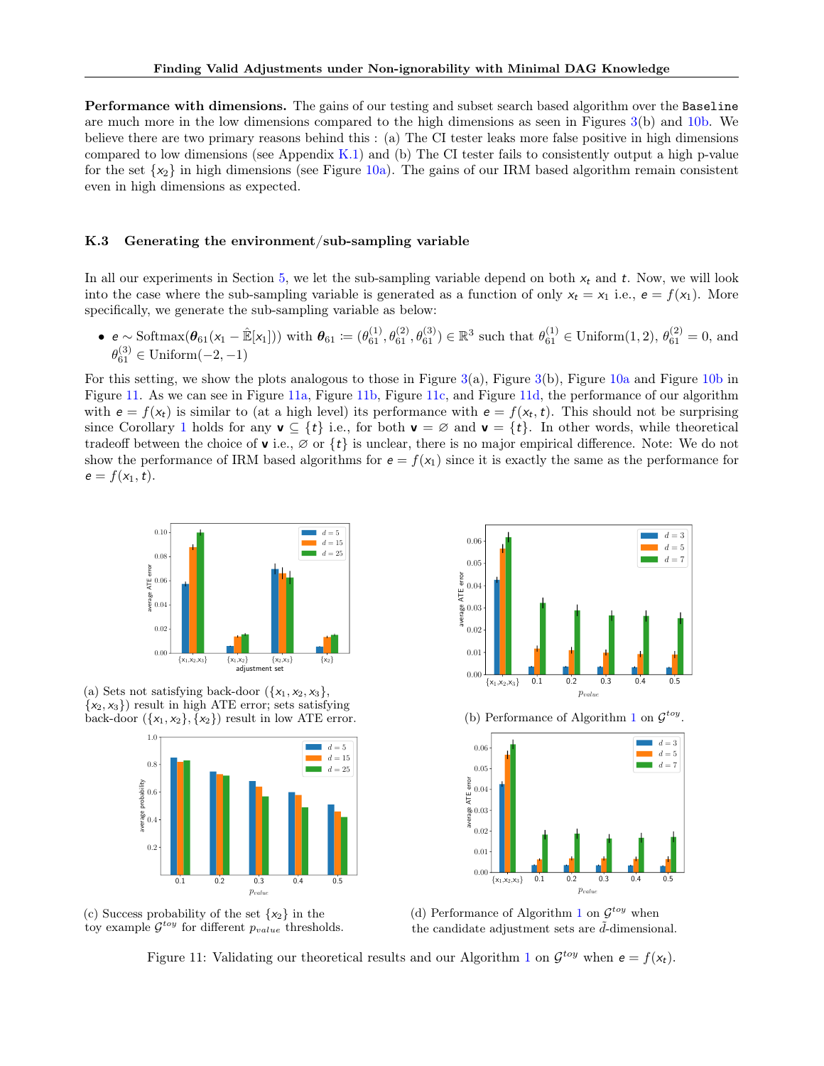Performance with dimensions. The gains of our testing and subset search based algorithm over the Baseline are much more in the low dimensions compared to the high dimensions as seen in Figures [3\(](#page-7-0)b) and [10b.](#page-20-0) We believe there are two primary reasons behind this : (a) The CI tester leaks more false positive in high dimensions compared to low dimensions (see Appendix  $K.1$ ) and (b) The CI tester fails to consistently output a high p-value for the set  $\{x_2\}$  in high dimensions (see Figure [10a\)](#page-20-0). The gains of our IRM based algorithm remain consistent even in high dimensions as expected.

#### K.3 Generating the environment/sub-sampling variable

In all our experiments in Section [5,](#page-6-2) we let the sub-sampling variable depend on both  $x_t$  and t. Now, we will look into the case where the sub-sampling variable is generated as a function of only  $x_t = x_1$  i.e.,  $e = f(x_1)$ . More specifically, we generate the sub-sampling variable as below:

•  $e \sim \text{Softmax}(\theta_{61}(x_1 - \hat{\mathbb{E}}[x_1]))$  with  $\theta_{61} := (\theta_{61}^{(1)}, \theta_{61}^{(2)}, \theta_{61}^{(3)}) \in \mathbb{R}^3$  such that  $\theta_{61}^{(1)} \in \text{Uniform}(1, 2), \theta_{61}^{(2)} = 0$ , and  $\theta_{61}^{(3)} \in \text{Uniform}(-2, -1)$ 

For this setting, we show the plots analogous to those in Figure  $3(a)$  $3(a)$ , Figure  $3(b)$ , Figure  $10a$  and Figure  $10b$  in Figure [11.](#page-21-0) As we can see in Figure [11a,](#page-21-0) Figure [11b,](#page-21-0) Figure [11c,](#page-21-0) and Figure [11d,](#page-21-0) the performance of our algorithm with  $e = f(x_t)$  is similar to (at a high level) its performance with  $e = f(x_t, t)$ . This should not be surprising since Corollary [1](#page-5-0) holds for any  $\mathbf{v} \subseteq \{t\}$  i.e., for both  $\mathbf{v} = \emptyset$  and  $\mathbf{v} = \{t\}$ . In other words, while theoretical tradeoff between the choice of **v** i.e.,  $\emptyset$  or  $\{t\}$  is unclear, there is no major empirical difference. Note: We do not show the performance of IRM based algorithms for  $e = f(x_1)$  since it is exactly the same as the performance for  $e = f(x_1, t).$ 

<span id="page-21-0"></span>

(a) Sets not satisfying back-door  $({x_1, x_2, x_3},$  $\{x_2, x_3\}$  result in high ATE error; sets satisfying back-door  $({x_1, x_2}, {x_2})$  result in low ATE error.







(d) Performance of Algorithm [1](#page-6-0) on  $\mathcal{G}^{toy}$  when the candidate adjustment sets are  $\tilde{d}$ -dimensional.

Figure [1](#page-6-0)1: Validating our theoretical results and our Algorithm 1 on  $\mathcal{G}^{toy}$  when  $e = f(x_t)$ .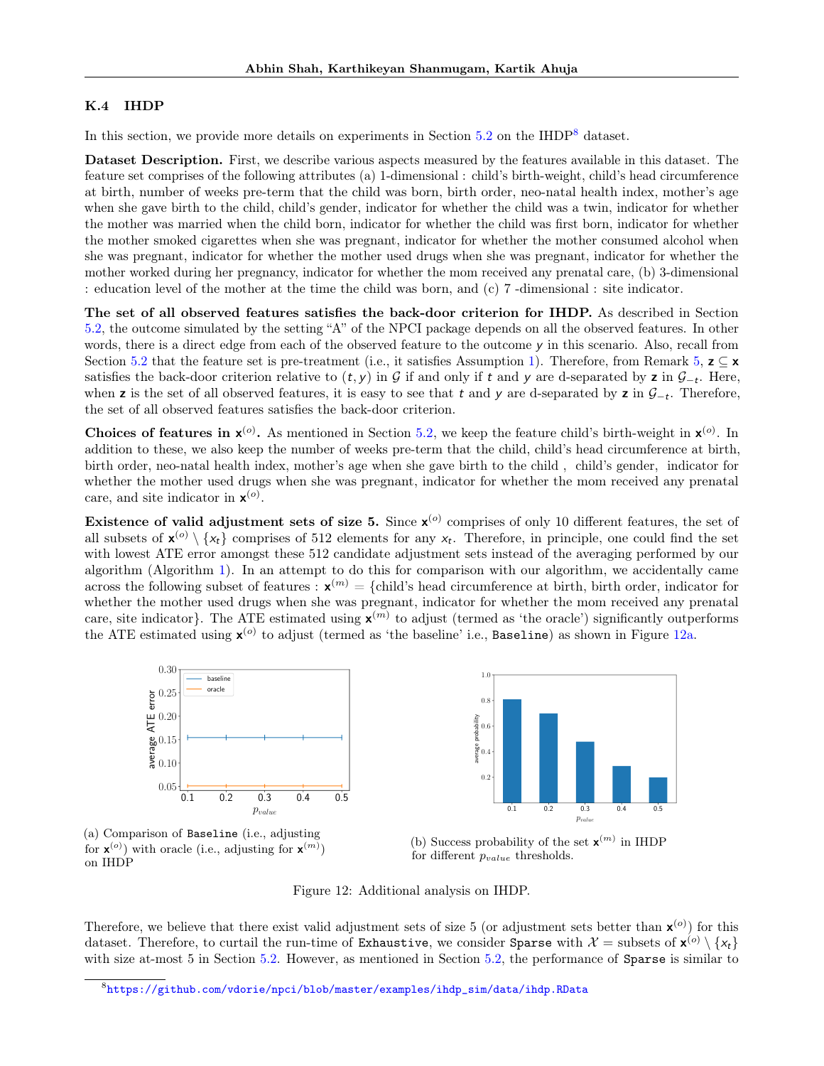#### <span id="page-22-0"></span>K.4 IHDP

In this section, we provide more details on experiments in Section [5.2](#page-7-2) on the IHDP<sup>[8](#page-22-1)</sup> dataset.

Dataset Description. First, we describe various aspects measured by the features available in this dataset. The feature set comprises of the following attributes (a) 1-dimensional : child's birth-weight, child's head circumference at birth, number of weeks pre-term that the child was born, birth order, neo-natal health index, mother's age when she gave birth to the child, child's gender, indicator for whether the child was a twin, indicator for whether the mother was married when the child born, indicator for whether the child was first born, indicator for whether the mother smoked cigarettes when she was pregnant, indicator for whether the mother consumed alcohol when she was pregnant, indicator for whether the mother used drugs when she was pregnant, indicator for whether the mother worked during her pregnancy, indicator for whether the mom received any prenatal care, (b) 3-dimensional : education level of the mother at the time the child was born, and (c) 7 -dimensional : site indicator.

The set of all observed features satisfies the back-door criterion for IHDP. As described in Section [5.2,](#page-7-2) the outcome simulated by the setting "A" of the NPCI package depends on all the observed features. In other words, there is a direct edge from each of the observed feature to the outcome  $\gamma$  in this scenario. Also, recall from Section [5.2](#page-7-2) that the feature set is pre-treatment (i.e., it satisfies Assumption [1\)](#page-3-1). Therefore, from Remark [5,](#page-13-2)  $z \subseteq x$ satisfies the back-door criterion relative to  $(t, y)$  in G if and only if t and y are d-separated by z in  $\mathcal{G}_{-t}$ . Here, when z is the set of all observed features, it is easy to see that t and y are d-separated by z in  $\mathcal{G}_{-t}$ . Therefore, the set of all observed features satisfies the back-door criterion.

Choices of features in  $x^{(0)}$ . As mentioned in Section [5.2,](#page-7-2) we keep the feature child's birth-weight in  $x^{(0)}$ . In addition to these, we also keep the number of weeks pre-term that the child, child's head circumference at birth, birth order, neo-natal health index, mother's age when she gave birth to the child , child's gender, indicator for whether the mother used drugs when she was pregnant, indicator for whether the mom received any prenatal care, and site indicator in  $\mathbf{x}^{(o)}$ .

Existence of valid adjustment sets of size 5. Since  $x^{(o)}$  comprises of only 10 different features, the set of all subsets of  $\mathbf{x}^{(o)} \setminus \{x_t\}$  comprises of 512 elements for any  $x_t$ . Therefore, in principle, one could find the set with lowest ATE error amongst these 512 candidate adjustment sets instead of the averaging performed by our algorithm (Algorithm [1\)](#page-6-0). In an attempt to do this for comparison with our algorithm, we accidentally came across the following subset of features :  $\mathbf{x}^{(m)} = \{\text{child's head circumference at birth, birth order, indicator for } \mathbf{x}^{(m)}\}$ whether the mother used drugs when she was pregnant, indicator for whether the mom received any prenatal care, site indicator}. The ATE estimated using  $\mathbf{x}^{(m)}$  to adjust (termed as 'the oracle') significantly outperforms the ATE estimated using  $\mathbf{x}^{(o)}$  to adjust (termed as 'the baseline' i.e., Baseline) as shown in Figure [12a.](#page-22-2)

<span id="page-22-2"></span>



(a) Comparison of Baseline (i.e., adjusting for  $\mathbf{x}^{(o)}$  with oracle (i.e., adjusting for  $\mathbf{x}^{(m)}$ ) on IHDP

(b) Success probability of the set  $\mathbf{x}^{(m)}$  in IHDP for different  $p_{value}$  thresholds.

#### Figure 12: Additional analysis on IHDP.

Therefore, we believe that there exist valid adjustment sets of size 5 (or adjustment sets better than  $x^{(o)}$ ) for this dataset. Therefore, to curtail the run-time of Exhaustive, we consider Sparse with  $\mathcal{X} = \text{subsets of } \mathbf{x}^{(o)} \setminus \{x_t\}$ with size at-most 5 in Section [5.2.](#page-7-2) However, as mentioned in Section [5.2,](#page-7-2) the performance of Sparse is similar to

<span id="page-22-1"></span> ${}^{8}$ [https://github.com/vdorie/npci/blob/master/examples/ihdp\\_sim/data/ihdp.RData](https://github.com/vdorie/npci/blob/master/examples/ihdp_sim/data/ihdp.RData)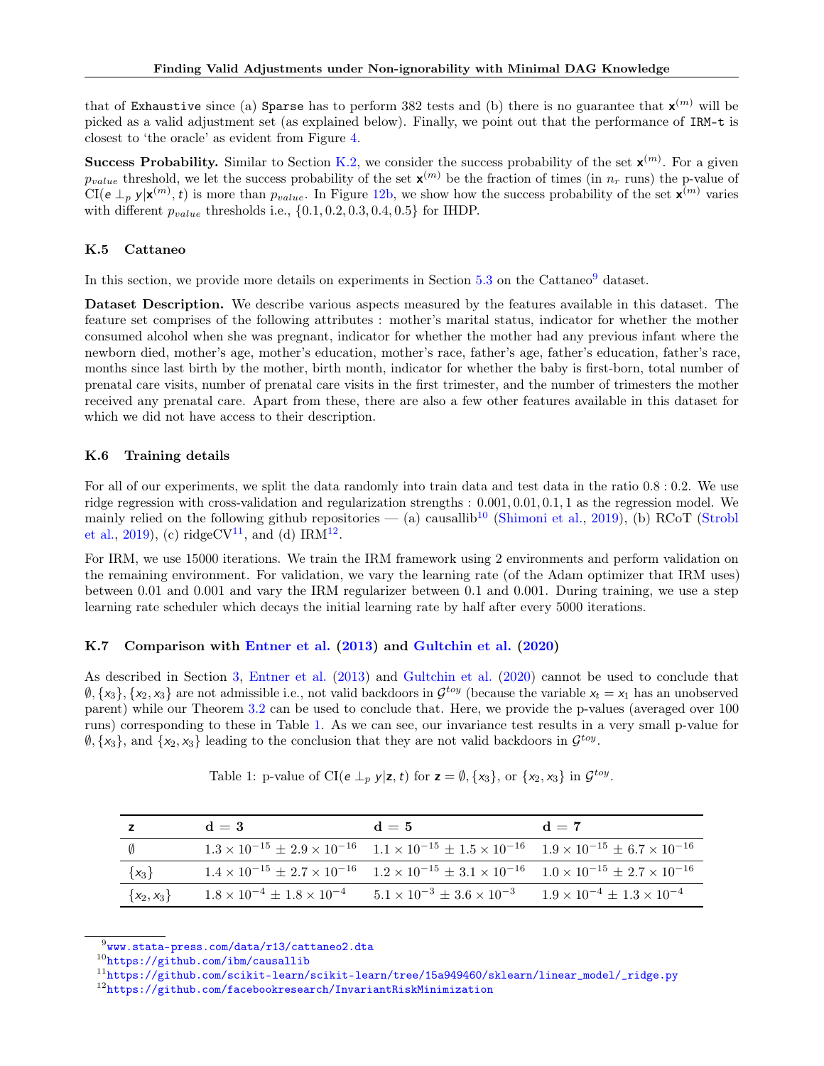that of Exhaustive since (a) Sparse has to perform 382 tests and (b) there is no guarantee that  $\mathbf{x}^{(m)}$  will be picked as a valid adjustment set (as explained below). Finally, we point out that the performance of IRM-t is closest to 'the oracle' as evident from Figure [4.](#page-8-0)

**Success Probability.** Similar to Section [K.2,](#page-19-3) we consider the success probability of the set  $\mathbf{x}^{(m)}$ . For a given  $p_{value}$  threshold, we let the success probability of the set  $\mathbf{x}^{(m)}$  be the fraction of times (in  $n_r$  runs) the p-value of  $CI(e \perp_p y | \mathbf{x}^{(m)}, t)$  is more than  $p_{value}$ . In Figure [12b,](#page-22-2) we show how the success probability of the set  $\mathbf{x}^{(m)}$  varies with different  $p_{value}$  thresholds i.e.,  $\{0.1, 0.2, 0.3, 0.4, 0.5\}$  for IHDP.

## <span id="page-23-1"></span>K.5 Cattaneo

In this section, we provide more details on experiments in Section [5.3](#page-8-3) on the Cattaneo<sup>[9](#page-23-2)</sup> dataset.

Dataset Description. We describe various aspects measured by the features available in this dataset. The feature set comprises of the following attributes : mother's marital status, indicator for whether the mother consumed alcohol when she was pregnant, indicator for whether the mother had any previous infant where the newborn died, mother's age, mother's education, mother's race, father's age, father's education, father's race, months since last birth by the mother, birth month, indicator for whether the baby is first-born, total number of prenatal care visits, number of prenatal care visits in the first trimester, and the number of trimesters the mother received any prenatal care. Apart from these, there are also a few other features available in this dataset for which we did not have access to their description.

# K.6 Training details

For all of our experiments, we split the data randomly into train data and test data in the ratio 0.8 : 0.2. We use ridge regression with cross-validation and regularization strengths : 0.001, 0.01, 0.1, 1 as the regression model. We mainly relied on the following github repositories — (a) causallib<sup>[10](#page-23-3)</sup> [\(Shimoni et al.,](#page-10-24) [2019\)](#page-10-24), (b) RCoT [\(Strobl](#page-10-22) [et al.,](#page-10-22) [2019\)](#page-10-22), (c) ridgeCV<sup>[11](#page-23-4)</sup>, and (d) IRM<sup>[12](#page-23-5)</sup>.

For IRM, we use 15000 iterations. We train the IRM framework using 2 environments and perform validation on the remaining environment. For validation, we vary the learning rate (of the Adam optimizer that IRM uses) between 0.01 and 0.001 and vary the IRM regularizer between 0.1 and 0.001. During training, we use a step learning rate scheduler which decays the initial learning rate by half after every 5000 iterations.

# <span id="page-23-0"></span>K.7 Comparison with [Entner et al.](#page-9-8) [\(2013\)](#page-9-8) and [Gultchin et al.](#page-9-10) [\(2020\)](#page-9-10)

As described in Section [3,](#page-3-2) [Entner et al.](#page-9-8) [\(2013\)](#page-9-8) and [Gultchin et al.](#page-9-10) [\(2020\)](#page-9-10) cannot be used to conclude that  $\emptyset$ ,  $\{x_3\}$ ,  $\{x_2, x_3\}$  are not admissible i.e., not valid backdoors in  $\mathcal{G}^{toy}$  (because the variable  $x_t = x_1$  has an unobserved parent) while our Theorem [3.2](#page-4-2) can be used to conclude that. Here, we provide the p-values (averaged over 100 runs) corresponding to these in Table [1.](#page-23-6) As we can see, our invariance test results in a very small p-value for  $\emptyset$ ,  $\{x_3\}$ , and  $\{x_2, x_3\}$  leading to the conclusion that they are not valid backdoors in  $\mathcal{G}^{toy}$ .

<span id="page-23-6"></span>

| z              | $d=3$ | $d=5$                                                                                                                                     | $d = 7$ |
|----------------|-------|-------------------------------------------------------------------------------------------------------------------------------------------|---------|
| $\emptyset$    |       | $1.3 \times 10^{-15} \pm 2.9 \times 10^{-16}$ $1.1 \times 10^{-15} \pm 1.5 \times 10^{-16}$ $1.9 \times 10^{-15} \pm 6.7 \times 10^{-16}$ |         |
| $\{x_3\}$      |       | $1.4 \times 10^{-15} \pm 2.7 \times 10^{-16}$ $1.2 \times 10^{-15} \pm 3.1 \times 10^{-16}$ $1.0 \times 10^{-15} \pm 2.7 \times 10^{-16}$ |         |
| $\{x_2, x_3\}$ |       | $1.8 \times 10^{-4} \pm 1.8 \times 10^{-4}$ $5.1 \times 10^{-3} \pm 3.6 \times 10^{-3}$ $1.9 \times 10^{-4} \pm 1.3 \times 10^{-4}$       |         |

Table 1: p-value of CI( $e \perp_p y | z, t$ ) for  $z = \emptyset, \{x_3\}$ , or  $\{x_2, x_3\}$  in  $\mathcal{G}^{toy}$ .

<span id="page-23-2"></span> $^9$ www.stata-press.com/data/r13/cattaneo $2.\mathtt{d}$ ta

<span id="page-23-3"></span><sup>10</sup><https://github.com/ibm/causallib>

<span id="page-23-5"></span><span id="page-23-4"></span><sup>11</sup>[https://github.com/scikit-learn/scikit-learn/tree/15a949460/sklearn/linear\\_model/\\_ridge.py](https://github.com/scikit-learn/scikit-learn/tree/15a949460/sklearn/linear_model/_ridge.py)  $12$ <https://github.com/facebookresearch/InvariantRiskMinimization>